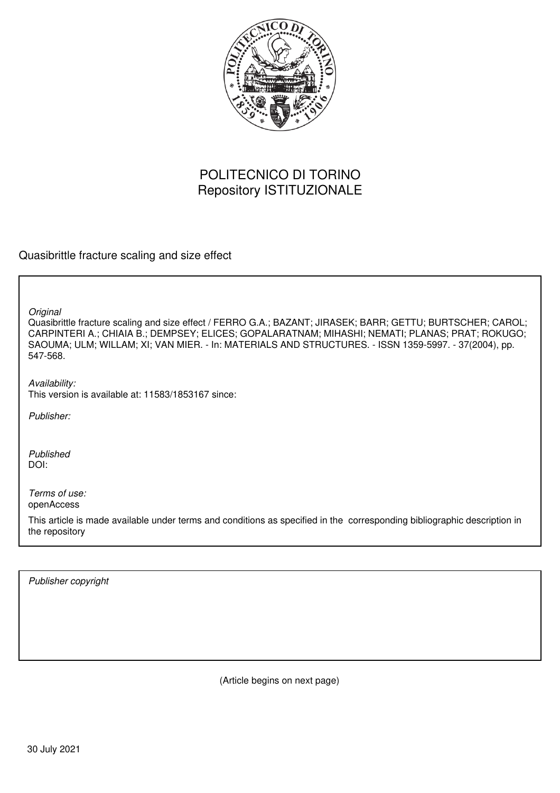

## POLITECNICO DI TORINO Repository ISTITUZIONALE

Quasibrittle fracture scaling and size effect

**Original** 

Quasibrittle fracture scaling and size effect / FERRO G.A.; BAZANT; JIRASEK; BARR; GETTU; BURTSCHER; CAROL; CARPINTERI A.; CHIAIA B.; DEMPSEY; ELICES; GOPALARATNAM; MIHASHI; NEMATI; PLANAS; PRAT; ROKUGO; SAOUMA; ULM; WILLAM; XI; VAN MIER. - In: MATERIALS AND STRUCTURES. - ISSN 1359-5997. - 37(2004), pp. 547-568.

Availability: This version is available at: 11583/1853167 since:

Publisher:

Published DOI:

Terms of use: openAccess

This article is made available under terms and conditions as specified in the corresponding bibliographic description in the repository

Publisher copyright

(Article begins on next page)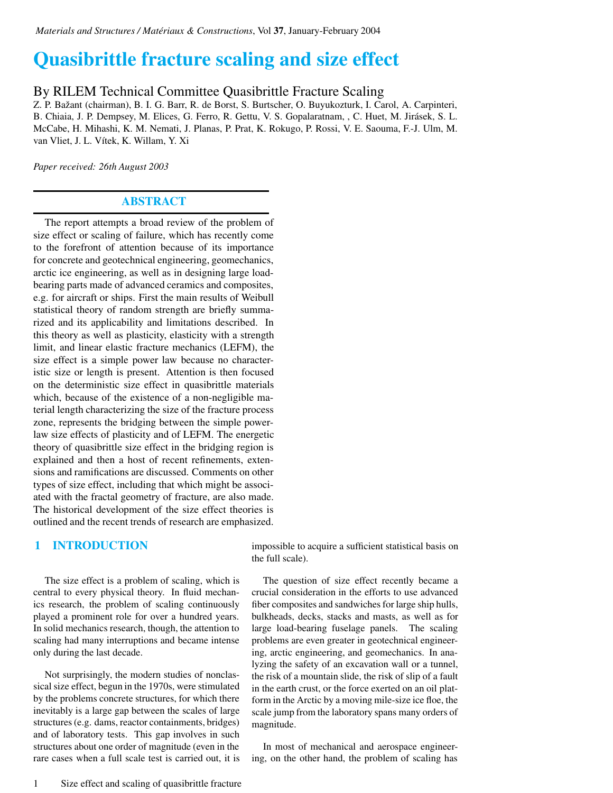# **Quasibrittle fracture scaling and size effect**

## By RILEM Technical Committee Quasibrittle Fracture Scaling

Z. P. Bažant (chairman), B. I. G. Barr, R. de Borst, S. Burtscher, O. Buyukozturk, I. Carol, A. Carpinteri, B. Chiaia, J. P. Dempsey, M. Elices, G. Ferro, R. Gettu, V. S. Gopalaratnam, , C. Huet, M. Jirásek, S. L. McCabe, H. Mihashi, K. M. Nemati, J. Planas, P. Prat, K. Rokugo, P. Rossi, V. E. Saouma, F.-J. Ulm, M. van Vliet, J. L. Vítek, K. Willam, Y. Xi

*Paper received: 26th August 2003*

#### **ABSTRACT**

The report attempts a broad review of the problem of size effect or scaling of failure, which has recently come to the forefront of attention because of its importance for concrete and geotechnical engineering, geomechanics, arctic ice engineering, as well as in designing large loadbearing parts made of advanced ceramics and composites, e.g. for aircraft or ships. First the main results of Weibull statistical theory of random strength are briefly summarized and its applicability and limitations described. In this theory as well as plasticity, elasticity with a strength limit, and linear elastic fracture mechanics (LEFM), the size effect is a simple power law because no characteristic size or length is present. Attention is then focused on the deterministic size effect in quasibrittle materials which, because of the existence of a non-negligible material length characterizing the size of the fracture process zone, represents the bridging between the simple powerlaw size effects of plasticity and of LEFM. The energetic theory of quasibrittle size effect in the bridging region is explained and then a host of recent refinements, extensions and ramifications are discussed. Comments on other types of size effect, including that which might be associated with the fractal geometry of fracture, are also made. The historical development of the size effect theories is outlined and the recent trends of research are emphasized.

## **1 INTRODUCTION**

The size effect is a problem of scaling, which is central to every physical theory. In fluid mechanics research, the problem of scaling continuously played a prominent role for over a hundred years. In solid mechanics research, though, the attention to scaling had many interruptions and became intense only during the last decade.

Not surprisingly, the modern studies of nonclassical size effect, begun in the 1970s, were stimulated by the problems concrete structures, for which there inevitably is a large gap between the scales of large structures (e.g. dams, reactor containments, bridges) and of laboratory tests. This gap involves in such structures about one order of magnitude (even in the rare cases when a full scale test is carried out, it is impossible to acquire a sufficient statistical basis on the full scale).

The question of size effect recently became a crucial consideration in the efforts to use advanced fiber composites and sandwiches for large ship hulls, bulkheads, decks, stacks and masts, as well as for large load-bearing fuselage panels. The scaling problems are even greater in geotechnical engineering, arctic engineering, and geomechanics. In analyzing the safety of an excavation wall or a tunnel, the risk of a mountain slide, the risk of slip of a fault in the earth crust, or the force exerted on an oil platform in the Arctic by a moving mile-size ice floe, the scale jump from the laboratory spans many orders of magnitude.

In most of mechanical and aerospace engineering, on the other hand, the problem of scaling has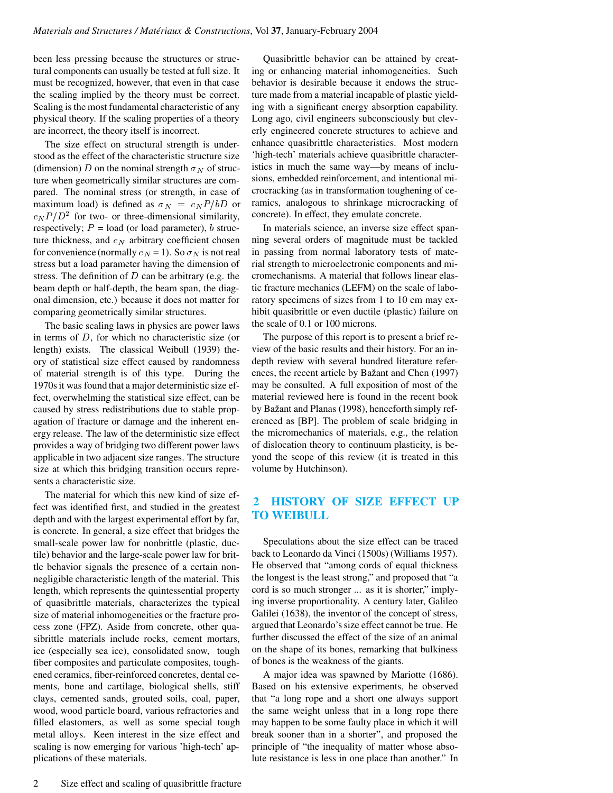been less pressing because the structures or structural components can usually be tested at full size. It must be recognized, however, that even in that case the scaling implied by the theory must be correct. Scaling is the most fundamental characteristic of any physical theory. If the scaling properties of a theory are incorrect, the theory itself is incorrect.

The size effect on structural strength is understood as the effect of the characteristic structure size (dimension) D on the nominal strength  $\sigma_N$  of structure when geometrically similar structures are compared. The nominal stress (or strength, in case of maximum load) is defined as  $\sigma_N = c_N P / bD$  or  $c_N P/D^2$  for two- or three-dimensional similarity, respectively;  $P =$  load (or load parameter), b structure thickness, and  $c_N$  arbitrary coefficient chosen for convenience (normally  $c_N = 1$ ). So  $\sigma_N$  is not real stress but a load parameter having the dimension of stress. The definition of  $D$  can be arbitrary (e.g. the beam depth or half-depth, the beam span, the diagonal dimension, etc.) because it does not matter for comparing geometrically similar structures.

The basic scaling laws in physics are power laws in terms of <sup>D</sup>, for which no characteristic size (or length) exists. The classical Weibull (1939) theory of statistical size effect caused by randomness of material strength is of this type. During the 1970s it was found that a major deterministic size effect, overwhelming the statistical size effect, can be caused by stress redistributions due to stable propagation of fracture or damage and the inherent energy release. The law of the deterministic size effect provides a way of bridging two different power laws applicable in two adjacent size ranges. The structure size at which this bridging transition occurs represents a characteristic size.

The material for which this new kind of size effect was identified first, and studied in the greatest depth and with the largest experimental effort by far, is concrete. In general, a size effect that bridges the small-scale power law for nonbrittle (plastic, ductile) behavior and the large-scale power law for brittle behavior signals the presence of a certain nonnegligible characteristic length of the material. This length, which represents the quintessential property of quasibrittle materials, characterizes the typical size of material inhomogeneities or the fracture process zone (FPZ). Aside from concrete, other quasibrittle materials include rocks, cement mortars, ice (especially sea ice), consolidated snow, tough fiber composites and particulate composites, toughened ceramics, fiber-reinforced concretes, dental cements, bone and cartilage, biological shells, stiff clays, cemented sands, grouted soils, coal, paper, wood, wood particle board, various refractories and filled elastomers, as well as some special tough metal alloys. Keen interest in the size effect and scaling is now emerging for various 'high-tech' applications of these materials.

Quasibrittle behavior can be attained by creating or enhancing material inhomogeneities. Such behavior is desirable because it endows the structure made from a material incapable of plastic yielding with a significant energy absorption capability. Long ago, civil engineers subconsciously but cleverly engineered concrete structures to achieve and enhance quasibrittle characteristics. Most modern 'high-tech' materials achieve quasibrittle characteristics in much the same way—by means of inclusions, embedded reinforcement, and intentional microcracking (as in transformation toughening of ceramics, analogous to shrinkage microcracking of concrete). In effect, they emulate concrete.

In materials science, an inverse size effect spanning several orders of magnitude must be tackled in passing from normal laboratory tests of material strength to microelectronic components and micromechanisms. A material that follows linear elastic fracture mechanics (LEFM) on the scale of laboratory specimens of sizes from 1 to 10 cm may exhibit quasibrittle or even ductile (plastic) failure on the scale of 0.1 or 100 microns.

The purpose of this report is to present a brief review of the basic results and their history. For an indepth review with several hundred literature references, the recent article by Bažant and Chen (1997) may be consulted. A full exposition of most of the material reviewed here is found in the recent book by Bažant and Planas (1998), henceforth simply referenced as [BP]. The problem of scale bridging in the micromechanics of materials, e.g., the relation of dislocation theory to continuum plasticity, is beyond the scope of this review (it is treated in this volume by Hutchinson).

## **2 HISTORY OF SIZE EFFECT UP TO WEIBULL**

Speculations about the size effect can be traced back to Leonardo da Vinci (1500s) (Williams 1957). He observed that "among cords of equal thickness the longest is the least strong," and proposed that "a cord is so much stronger ... as it is shorter," implying inverse proportionality. A century later, Galileo Galilei (1638), the inventor of the concept of stress, argued that Leonardo's size effect cannot be true. He further discussed the effect of the size of an animal on the shape of its bones, remarking that bulkiness of bones is the weakness of the giants.

A major idea was spawned by Mariotte (1686). Based on his extensive experiments, he observed that "a long rope and a short one always support the same weight unless that in a long rope there may happen to be some faulty place in which it will break sooner than in a shorter", and proposed the principle of "the inequality of matter whose absolute resistance is less in one place than another." In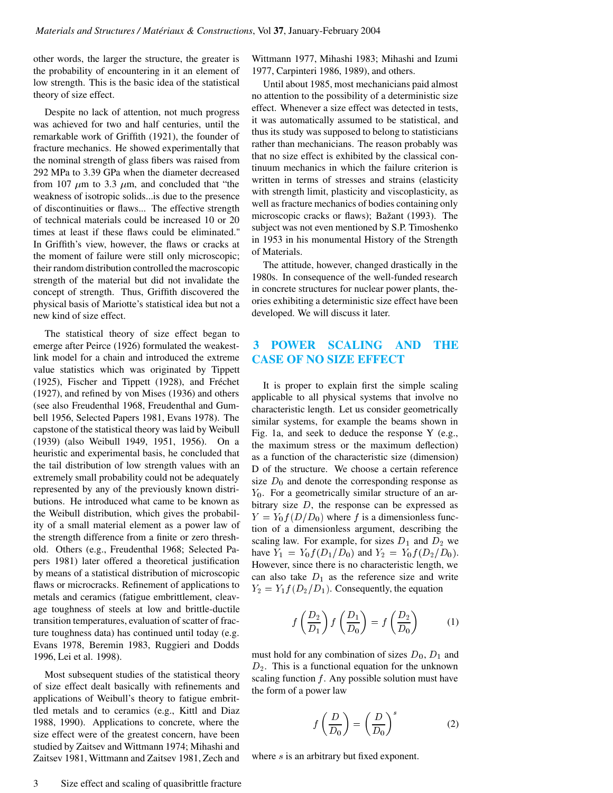other words, the larger the structure, the greater is the probability of encountering in it an element of low strength. This is the basic idea of the statistical theory of size effect.

Despite no lack of attention, not much progress was achieved for two and half centuries, until the remarkable work of Griffith (1921), the founder of fracture mechanics. He showed experimentally that the nominal strength of glass fibers was raised from 292 MPa to 3.39 GPa when the diameter decreased from 107  $\mu$ m to 3.3  $\mu$ m, and concluded that "the weakness of isotropic solids...is due to the presence of discontinuities or flaws... The effective strength of technical materials could be increased 10 or 20 times at least if these flaws could be eliminated." In Griffith's view, however, the flaws or cracks at the moment of failure were still only microscopic; their random distribution controlled the macroscopic strength of the material but did not invalidate the concept of strength. Thus, Griffith discovered the physical basis of Mariotte's statistical idea but not a new kind of size effect.

The statistical theory of size effect began to emerge after Peirce (1926) formulated the weakestlink model for a chain and introduced the extreme value statistics which was originated by Tippett (1925), Fischer and Tippett (1928), and Fréchet (1927), and refined by von Mises (1936) and others (see also Freudenthal 1968, Freudenthal and Gumbell 1956, Selected Papers 1981, Evans 1978). The capstone of the statistical theory was laid by Weibull (1939) (also Weibull 1949, 1951, 1956). On a heuristic and experimental basis, he concluded that the tail distribution of low strength values with an extremely small probability could not be adequately represented by any of the previously known distributions. He introduced what came to be known as the Weibull distribution, which gives the probability of a small material element as a power law of the strength difference from a finite or zero threshold. Others (e.g., Freudenthal 1968; Selected Papers 1981) later offered a theoretical justification by means of a statistical distribution of microscopic flaws or microcracks. Refinement of applications to metals and ceramics (fatigue embrittlement, cleavage toughness of steels at low and brittle-ductile transition temperatures, evaluation of scatter of fracture toughness data) has continued until today (e.g. Evans 1978, Beremin 1983, Ruggieri and Dodds 1996, Lei et al. 1998).

Most subsequent studies of the statistical theory of size effect dealt basically with refinements and applications of Weibull's theory to fatigue embrittled metals and to ceramics (e.g., Kittl and Diaz 1988, 1990). Applications to concrete, where the size effect were of the greatest concern, have been studied by Zaitsev and Wittmann 1974; Mihashi and Zaitsev 1981, Wittmann and Zaitsev 1981, Zech and Wittmann 1977, Mihashi 1983; Mihashi and Izumi 1977, Carpinteri 1986, 1989), and others.

Until about 1985, most mechanicians paid almost no attention to the possibility of a deterministic size effect. Whenever a size effect was detected in tests, it was automatically assumed to be statistical, and thus its study was supposed to belong to statisticians rather than mechanicians. The reason probably was that no size effect is exhibited by the classical continuum mechanics in which the failure criterion is written in terms of stresses and strains (elasticity with strength limit, plasticity and viscoplasticity, as well as fracture mechanics of bodies containing only microscopic cracks or flaws); Bažant (1993). The subject was not even mentioned by S.P. Timoshenko in 1953 in his monumental History of the Strength of Materials.

The attitude, however, changed drastically in the 1980s. In consequence of the well-funded research in concrete structures for nuclear power plants, theories exhibiting a deterministic size effect have been developed. We will discuss it later.

### **3 POWER SCALING AND THE CASE OF NO SIZE EFFECT**

It is proper to explain first the simple scaling applicable to all physical systems that involve no characteristic length. Let us consider geometrically similar systems, for example the beams shown in Fig. 1a, and seek to deduce the response Y (e.g., the maximum stress or the maximum deflection) as a function of the characteristic size (dimension) D of the structure. We choose a certain reference size  $D_0$  and denote the corresponding response as  $Y_0$ . For a geometrically similar structure of an arbitrary size  $D$ , the response can be expressed as  $Y = Y_0 f(D/D_0)$  where f is a dimensionless function of a dimensionless argument, describing the scaling law. For example, for sizes  $D_1$  and  $D_2$  we have  $Y_1 = Y_0 f(D_1/D_0)$  and  $Y_2 = Y_0 f(D_2/D_0)$ . However, since there is no characteristic length, we can also take  $D_1$  as the reference size and write  $Y_2 = Y_1 f(D_2/D_1)$ . Consequently, the equation

$$
f\left(\frac{D_2}{D_1}\right)f\left(\frac{D_1}{D_0}\right) = f\left(\frac{D_2}{D_0}\right) \tag{1}
$$

must hold for any combination of sizes  $D_0$ ,  $D_1$  and  $D_2$ . This is a functional equation for the unknown scaling function  $f$ . Any possible solution must have the form of a power law

$$
f\left(\frac{D}{D_0}\right) = \left(\frac{D}{D_0}\right)^s \tag{2}
$$

where s is an arbitrary but fixed exponent.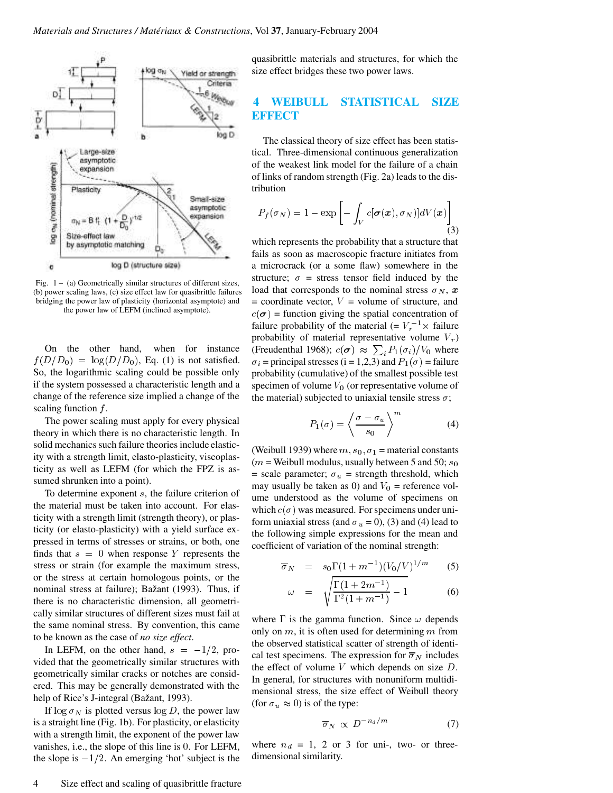

Fig. 1 – (a) Geometrically similar structures of different sizes, (b) power scaling laws, (c) size effect law for quasibrittle failures bridging the power law of plasticity (horizontal asymptote) and the power law of LEFM (inclined asymptote).

On the other hand, when for instance  $f(D/D_0) = \log(D/D_0)$ , Eq. (1) is not satisfied. So, the logarithmic scaling could be possible only if the system possessed a characteristic length and a change of the reference size implied a change of the scaling function  $f$ .

The power scaling must apply for every physical theory in which there is no characteristic length. In solid mechanics such failure theories include elasticity with a strength limit, elasto-plasticity, viscoplasticity as well as LEFM (for which the FPZ is assumed shrunken into a point).

To determine exponent <sup>s</sup>, the failure criterion of the material must be taken into account. For elasticity with a strength limit (strength theory), or plasticity (or elasto-plasticity) with a yield surface expressed in terms of stresses or strains, or both, one finds that  $s = 0$  when response Y represents the stress or strain (for example the maximum stress, or the stress at certain homologous points, or the nominal stress at failure); Bažant (1993). Thus, if there is no characteristic dimension, all geometrically similar structures of different sizes must fail at the same nominal stress. By convention, this came to be known as the case of *no size effect*.

In LEFM, on the other hand,  $s = -1/2$ , provided that the geometrically similar structures with geometrically similar cracks or notches are considered. This may be generally demonstrated with the help of Rice's J-integral (Bažant, 1993).

If  $\log \sigma_N$  is plotted versus  $\log D$ , the power law is a straight line (Fig. 1b). For plasticity, or elasticity with a strength limit, the exponent of the power law vanishes, i.e., the slope of this line is <sup>0</sup>. For LEFM, the slope is  $-1/2$ . An emerging 'hot' subject is the quasibrittle materials and structures, for which the size effect bridges these two power laws.

#### **4 WEIBULL STATISTICAL SIZE EFFECT**

The classical theory of size effect has been statistical. Three-dimensional continuous generalization of the weakest link model for the failure of a chain of links of random strength (Fig. 2a) leads to the distribution

$$
P_f(\sigma_N) = 1 - \exp\left[-\int_V c[\boldsymbol{\sigma}(\boldsymbol{x}), \sigma_N)]dV(\boldsymbol{x})\right]
$$
(3)

which represents the probability that a structure that fails as soon as macroscopic fracture initiates from a microcrack (or a some flaw) somewhere in the structure;  $\sigma$  = stress tensor field induced by the load that corresponds to the nominal stress  $\sigma_N$ , x  $=$  coordinate vector,  $V =$  volume of structure, and  $c(\sigma)$  = function giving the spatial concentration of failure probability of the material  $(=V_r^{-1} \times \text{failure})$ probability of material representative volume  $V_r$ ) (Freudenthal 1968);  $c(\boldsymbol{\sigma}) \approx \sum_i P_1(\sigma_i)/V_0$  where  $\sigma_i$  = principal stresses (i = 1,2,3) and  $P_1(\sigma)$  = failure probability (cumulative) of the smallest possible test specimen of volume  $V_0$  (or representative volume of the material) subjected to uniaxial tensile stress  $\sigma$ ;

$$
P_1(\sigma) = \left\langle \frac{\sigma - \sigma_u}{s_0} \right\rangle^m \tag{4}
$$

(Weibull 1939) where  $m, s_0, \sigma_1$  = material constants  $(m = Weibull$  modulus, usually between 5 and 50;  $s_0$ = scale parameter;  $\sigma_u$  = strength threshold, which may usually be taken as 0) and  $V_0$  = reference volume understood as the volume of specimens on which  $c(\sigma)$  was measured. For specimens under uniform uniaxial stress (and  $\sigma_u = 0$ ), (3) and (4) lead to the following simple expressions for the mean and coefficient of variation of the nominal strength:

s and the state of the state of the

$$
\overline{\sigma}_N = s_0 \Gamma(1 + m^{-1}) (V_0/V)^{1/m} \qquad (5)
$$

$$
\omega = \sqrt{\frac{\Gamma(1+2m^{-1})}{\Gamma^2(1+m^{-1})}} - 1 \tag{6}
$$

where  $\Gamma$  is the gamma function. Since  $\omega$  depends only on  $m$ , it is often used for determining  $m$  from the observed statistical scatter of strength of identical test specimens. The expression for  $\overline{\sigma}_N$  includes the effect of volume  $V$  which depends on size  $D$ . In general, for structures with nonuniform multidimensional stress, the size effect of Weibull theory (for  $\sigma_u \approx 0$ ) is of the type:

$$
\overline{\sigma}_N \propto D^{-n_d/m} \tag{7}
$$

where  $n_d = 1$ , 2 or 3 for uni-, two- or threedimensional similarity.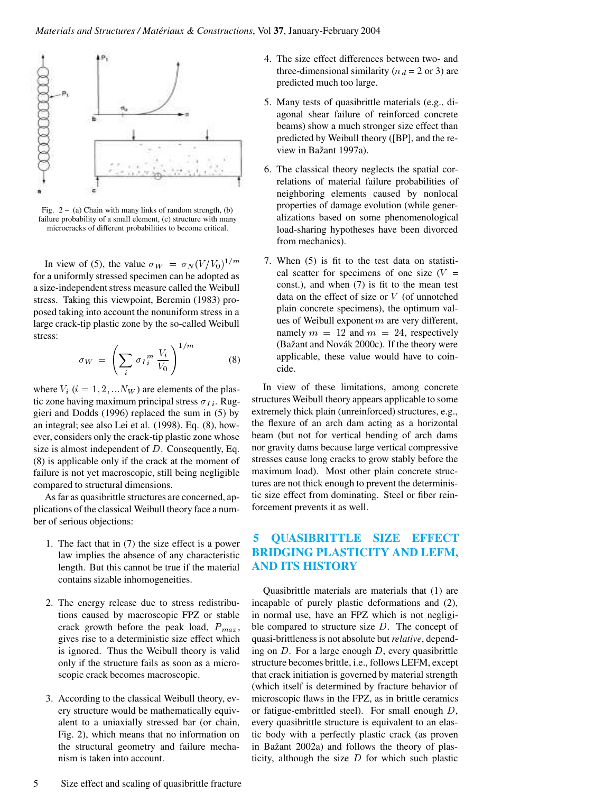

Fig.  $2 - (a)$  Chain with many links of random strength,  $(b)$ failure probability of a small element, (c) structure with many microcracks of different probabilities to become critical.

In view of (5), the value  $\sigma_W = \sigma_N (V/V_0)^{1/m}$ for a uniformly stressed specimen can be adopted as a size-independent stress measure called the Weibull stress. Taking this viewpoint, Beremin (1983) proposed taking into account the nonuniform stress in a large crack-tip plastic zone by the so-called Weibull stress:

$$
\sigma_W = \left(\sum_i \sigma_{I_i^m} \frac{V_i}{V_0}\right)^{1/m} \tag{8}
$$

where  $V_i$   $(i = 1, 2, ...N_W)$  are elements of the plastic zone having maximum principal stress  $\sigma_{I_i}$ . Ruggieri and Dodds (1996) replaced the sum in (5) by an integral; see also Lei et al. (1998). Eq. (8), however, considers only the crack-tip plastic zone whose size is almost independent of  $D$ . Consequently, Eq. (8) is applicable only if the crack at the moment of failure is not yet macroscopic, still being negligible compared to structural dimensions.

As far as quasibrittle structures are concerned, applications of the classical Weibull theory face a number of serious objections:

- 1. The fact that in (7) the size effect is a power law implies the absence of any characteristic length. But this cannot be true if the material contains sizable inhomogeneities.
- 2. The energy release due to stress redistributions caused by macroscopic FPZ or stable crack growth before the peak load,  $P_{max}$ , gives rise to a deterministic size effect which is ignored. Thus the Weibull theory is valid only if the structure fails as soon as a microscopic crack becomes macroscopic.
- 3. According to the classical Weibull theory, every structure would be mathematically equivalent to a uniaxially stressed bar (or chain, Fig. 2), which means that no information on the structural geometry and failure mechanism is taken into account.
- 4. The size effect differences between two- and three-dimensional similarity ( $n_d = 2$  or 3) are predicted much too large.
- 5. Many tests of quasibrittle materials (e.g., diagonal shear failure of reinforced concrete beams) show a much stronger size effect than predicted by Weibull theory ([BP], and the review in Bažant 1997a).
- 6. The classical theory neglects the spatial correlations of material failure probabilities of neighboring elements caused by nonlocal properties of damage evolution (while generalizations based on some phenomenological load-sharing hypotheses have been divorced from mechanics).
- 7. When (5) is fit to the test data on statistical scatter for specimens of one size  $(V =$ const.), and when (7) is fit to the mean test data on the effect of size or <sup>V</sup> (of unnotched plain concrete specimens), the optimum values of Weibull exponent  $m$  are very different, namely  $m = 12$  and  $m = 24$ , respectively (Bažant and Novák 2000c). If the theory were applicable, these value would have to coincide.

In view of these limitations, among concrete structures Weibull theory appears applicable to some extremely thick plain (unreinforced) structures, e.g., the flexure of an arch dam acting as a horizontal beam (but not for vertical bending of arch dams nor gravity dams because large vertical compressive stresses cause long cracks to grow stably before the maximum load). Most other plain concrete structures are not thick enough to prevent the deterministic size effect from dominating. Steel or fiber reinforcement prevents it as well.

## **5 QUASIBRITTLE SIZE EFFECT BRIDGING PLASTICITY AND LEFM, AND ITS HISTORY**

Quasibrittle materials are materials that (1) are incapable of purely plastic deformations and (2), in normal use, have an FPZ which is not negligible compared to structure size  $D$ . The concept of quasi-brittleness is not absolute but*relative*, depending on  $D$ . For a large enough  $D$ , every quasibrittle structure becomes brittle, i.e., follows LEFM, except that crack initiation is governed by material strength (which itself is determined by fracture behavior of microscopic flaws in the FPZ, as in brittle ceramics or fatigue-embrittled steel). For small enough  $D$ , every quasibrittle structure is equivalent to an elastic body with a perfectly plastic crack (as proven in Bažant 2002a) and follows the theory of plasticity, although the size  $D$  for which such plastic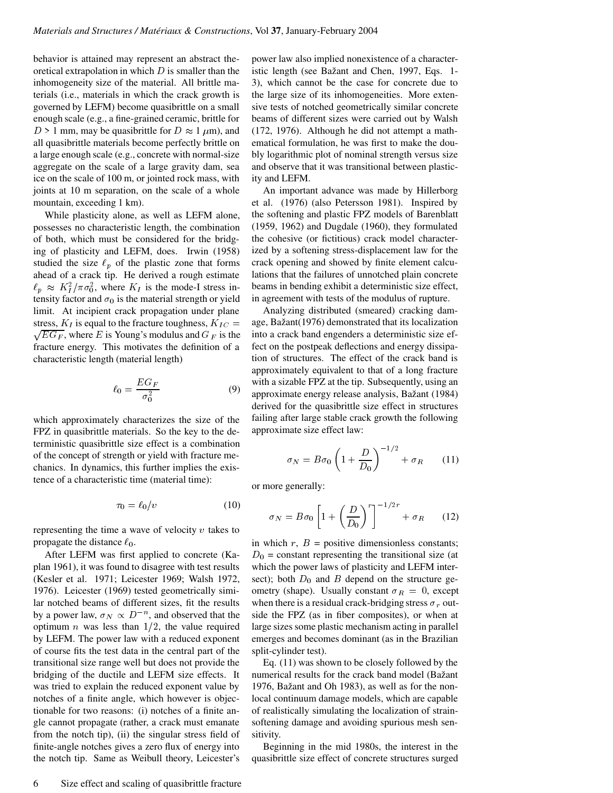behavior is attained may represent an abstract theoretical extrapolation in which  $D$  is smaller than the inhomogeneity size of the material. All brittle materials (i.e., materials in which the crack growth is governed by LEFM) become quasibrittle on a small enough scale (e.g., a fine-grained ceramic, brittle for  $D > 1$  mm, may be quasibrittle for  $D \approx 1 \mu m$ ), and all quasibrittle materials become perfectly brittle on a large enough scale (e.g., concrete with normal-size aggregate on the scale of a large gravity dam, sea ice on the scale of 100 m, or jointed rock mass, with joints at 10 m separation, on the scale of a whole mountain, exceeding 1 km).

While plasticity alone, as well as LEFM alone, possesses no characteristic length, the combination of both, which must be considered for the bridging of plasticity and LEFM, does. Irwin (1958) studied the size  $\ell_p$  of the plastic zone that forms ahead of a crack tip. He derived a rough estimate  $\ell_p \approx K_I^2/\pi \sigma_0^2$ , where  $K_I$  is the mode-I stress intensity factor and  $\sigma_0$  is the material strength or yield limit. At incipient crack propagation under plane stress,  $K_I$  is equal to the fracture toughness,  $K_{IC} =$  $\sqrt{EG_F}$ , where E is Young's modulus and  $G_F$  is the fracture energy. This motivates the definition of a characteristic length (material length)

$$
\ell_0 = \frac{EG_F}{\sigma_0^2} \tag{9}
$$

which approximately characterizes the size of the FPZ in quasibrittle materials. So the key to the deterministic quasibrittle size effect is a combination of the concept of strength or yield with fracture mechanics. In dynamics, this further implies the existence of a characteristic time (material time):

$$
\tau_0 = \ell_0/v \tag{10}
$$

representing the time a wave of velocity  $v$  takes to propagate the distance  $\ell_0$ .

After LEFM was first applied to concrete (Kaplan 1961), it was found to disagree with test results (Kesler et al. 1971; Leicester 1969; Walsh 1972, 1976). Leicester (1969) tested geometrically similar notched beams of different sizes, fit the results by a power law,  $\sigma_N \propto D^{-n}$ , and observed that the optimum *n* was less than  $1/2$ , the value required by LEFM. The power law with a reduced exponent of course fits the test data in the central part of the transitional size range well but does not provide the bridging of the ductile and LEFM size effects. It was tried to explain the reduced exponent value by notches of a finite angle, which however is objectionable for two reasons: (i) notches of a finite angle cannot propagate (rather, a crack must emanate from the notch tip), (ii) the singular stress field of finite-angle notches gives a zero flux of energy into the notch tip. Same as Weibull theory, Leicester's

power law also implied nonexistence of a characteristic length (see Bažant and Chen, 1997, Eqs. 1- 3), which cannot be the case for concrete due to the large size of its inhomogeneities. More extensive tests of notched geometrically similar concrete beams of different sizes were carried out by Walsh (172, 1976). Although he did not attempt a mathematical formulation, he was first to make the doubly logarithmic plot of nominal strength versus size and observe that it was transitional between plasticity and LEFM.

An important advance was made by Hillerborg et al. (1976) (also Petersson 1981). Inspired by the softening and plastic FPZ models of Barenblatt (1959, 1962) and Dugdale (1960), they formulated the cohesive (or fictitious) crack model characterized by a softening stress-displacement law for the crack opening and showed by finite element calculations that the failures of unnotched plain concrete beams in bending exhibit a deterministic size effect, in agreement with tests of the modulus of rupture.

Analyzing distributed (smeared) cracking damage, Bažant(1976) demonstrated that its localization into a crack band engenders a deterministic size effect on the postpeak deflections and energy dissipation of structures. The effect of the crack band is approximately equivalent to that of a long fracture with a sizable FPZ at the tip. Subsequently, using an approximate energy release analysis, Bažant (1984) derived for the quasibrittle size effect in structures failing after large stable crack growth the following approximate size effect law:

$$
\sigma_N = B\sigma_0 \left( 1 + \frac{D}{D_0} \right)^{-1/2} + \sigma_R \qquad (11)
$$

or more generally:

$$
\sigma_N = B\sigma_0 \left[ 1 + \left(\frac{D}{D_0}\right)^r \right]^{-1/2r} + \sigma_R \qquad (12)
$$

in which  $r$ ,  $B =$  positive dimensionless constants;  $D_0$  = constant representing the transitional size (at which the power laws of plasticity and LEFM intersect); both  $D_0$  and B depend on the structure geometry (shape). Usually constant  $\sigma_R = 0$ , except when there is a residual crack-bridging stress  $\sigma_r$  outside the FPZ (as in fiber composites), or when at large sizes some plastic mechanism acting in parallel emerges and becomes dominant (as in the Brazilian split-cylinder test).

Eq. (11) was shown to be closely followed by the numerical results for the crack band model (Bažant 1976, Bažant and Oh 1983), as well as for the nonlocal continuum damage models, which are capable of realistically simulating the localization of strainsoftening damage and avoiding spurious mesh sensitivity.

Beginning in the mid 1980s, the interest in the quasibrittle size effect of concrete structures surged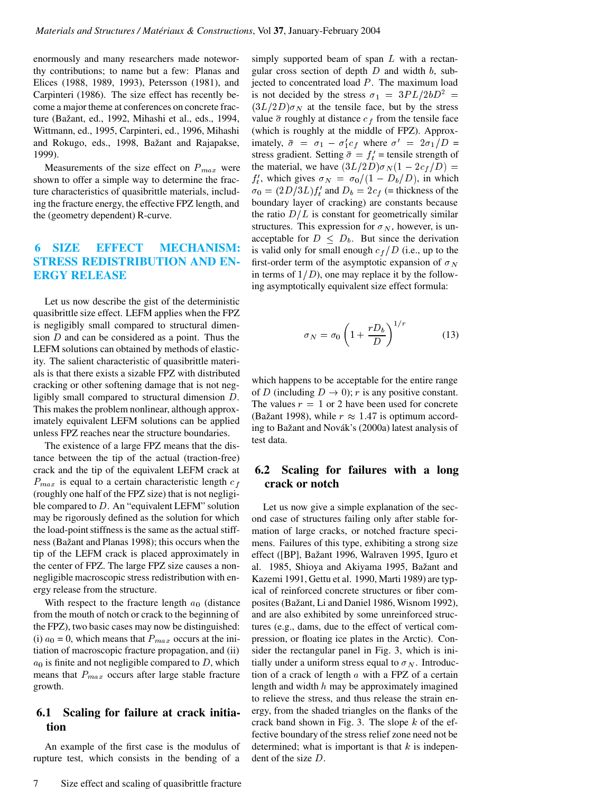enormously and many researchers made noteworthy contributions; to name but a few: Planas and Elices (1988, 1989, 1993), Petersson (1981), and Carpinteri (1986). The size effect has recently become a major theme at conferences on concrete fracture (Bažant, ed., 1992, Mihashi et al., eds., 1994, Wittmann, ed., 1995, Carpinteri, ed., 1996, Mihashi and Rokugo, eds., 1998, Bažant and Rajapakse, 1999).

Measurements of the size effect on  $P_{max}$  were shown to offer a simple way to determine the fracture characteristics of quasibrittle materials, including the fracture energy, the effective FPZ length, and the (geometry dependent) R-curve.

## **6 SIZE EFFECT MECHANISM: STRESS REDISTRIBUTION AND EN-ERGY RELEASE**

Let us now describe the gist of the deterministic quasibrittle size effect. LEFM applies when the FPZ is negligibly small compared to structural dimension  $D$  and can be considered as a point. Thus the LEFM solutions can obtained by methods of elasticity. The salient characteristic of quasibrittle materials is that there exists a sizable FPZ with distributed cracking or other softening damage that is not negligibly small compared to structural dimension <sup>D</sup>. This makes the problem nonlinear, although approximately equivalent LEFM solutions can be applied unless FPZ reaches near the structure boundaries.

The existence of a large FPZ means that the distance between the tip of the actual (traction-free) crack and the tip of the equivalent LEFM crack at  $P_{max}$  is equal to a certain characteristic length  $c_f$ (roughly one half of the FPZ size) that is not negligible compared to <sup>D</sup>. An "equivalent LEFM" solution may be rigorously defined as the solution for which the load-point stiffness is the same as the actual stiffness (Bažant and Planas 1998); this occurs when the tip of the LEFM crack is placed approximately in the center of FPZ. The large FPZ size causes a nonnegligible macroscopic stress redistribution with energy release from the structure.

With respect to the fracture length  $a_0$  (distance from the mouth of notch or crack to the beginning of the FPZ), two basic cases may now be distinguished: (i)  $a_0 = 0$ , which means that  $P_{max}$  occurs at the initiation of macroscopic fracture propagation, and (ii)  $a_0$  is finite and not negligible compared to D, which means that  $P_{max}$  occurs after large stable fracture growth.

### **6.1 Scaling for failure at crack initiation**

An example of the first case is the modulus of rupture test, which consists in the bending of a

simply supported beam of span  $L$  with a rectangular cross section of depth  $D$  and width  $b$ , subjected to concentrated load  $P$ . The maximum load is not decided by the stress  $\sigma_1 = 3PL/2bD^2$  =  $(3L/2D)\sigma_N$  at the tensile face, but by the stress value  $\bar{\sigma}$  roughly at distance  $c_f$  from the tensile face (which is roughly at the middle of FPZ). Approximately,  $\bar{\sigma} = \sigma_1 - \sigma_1' c_f$  where  $\sigma' = 2\sigma_1/D =$ stress gradient. Setting  $\bar{\sigma} = f'_t$  = tensile strength of the material, we have  $(3L/2D)\sigma_N(1 - 2c_f/D)$  =  $f_t'$ , which gives  $\sigma_N = \sigma_0/(1 - D_b/D)$ , in which  $\sigma_0 = (2D/3L)f'_t$  and  $D_b = 2c_f$  (= thickness of the boundary layer of cracking) are constants because the ratio  $D/L$  is constant for geometrically similar structures. This expression for  $\sigma_N$ , however, is unacceptable for  $D \leq D_b$ . But since the derivation is valid only for small enough  $c_f/D$  (i.e., up to the first-order term of the asymptotic expansion of  $\sigma_N$ in terms of  $1/D$ ), one may replace it by the following asymptotically equivalent size effect formula:

$$
\sigma_N = \sigma_0 \left( 1 + \frac{r D_b}{D} \right)^{1/r} \tag{13}
$$

which happens to be acceptable for the entire range of D (including  $D \to 0$ ); r is any positive constant. The values  $r = 1$  or 2 have been used for concrete (Bažant 1998), while  $r \approx 1.47$  is optimum according to Bažant and Novák's (2000a) latest analysis of test data.

#### **6.2 Scaling for failures with a long crack or notch**

Let us now give a simple explanation of the second case of structures failing only after stable formation of large cracks, or notched fracture specimens. Failures of this type, exhibiting a strong size effect ([BP], Bažant 1996, Walraven 1995, Iguro et al. 1985, Shioya and Akiyama 1995, Bažant and Kazemi 1991, Gettu et al. 1990, Marti 1989) are typical of reinforced concrete structures or fiber composites (Bažant, Li and Daniel 1986, Wisnom 1992), and are also exhibited by some unreinforced structures (e.g., dams, due to the effect of vertical compression, or floating ice plates in the Arctic). Consider the rectangular panel in Fig. 3, which is initially under a uniform stress equal to  $\sigma_N$ . Introduction of a crack of length  $a$  with a FPZ of a certain length and width  $h$  may be approximately imagined to relieve the stress, and thus release the strain energy, from the shaded triangles on the flanks of the crack band shown in Fig. 3. The slope  $k$  of the effective boundary of the stress relief zone need not be determined; what is important is that  $k$  is independent of the size <sup>D</sup>.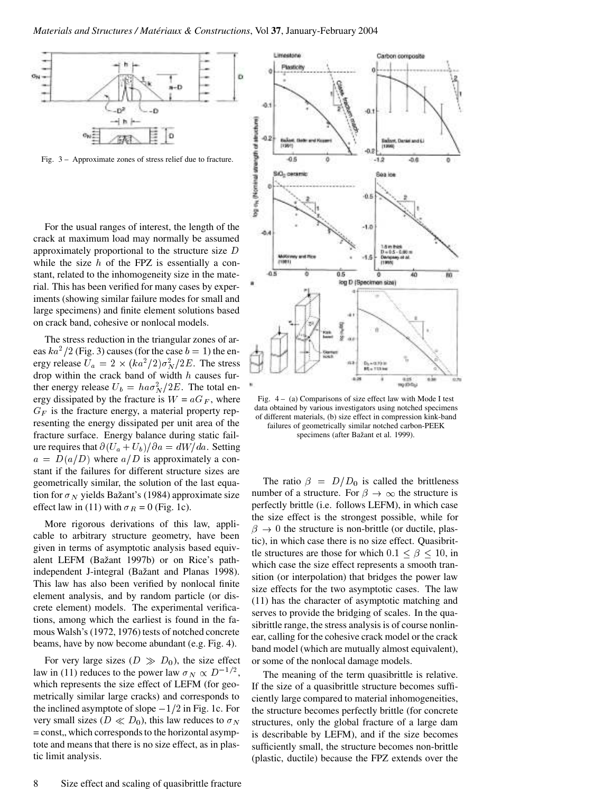

Fig. 3 – Approximate zones of stress relief due to fracture.

For the usual ranges of interest, the length of the crack at maximum load may normally be assumed approximately proportional to the structure size <sup>D</sup> while the size  $h$  of the FPZ is essentially a constant, related to the inhomogeneity size in the material. This has been verified for many cases by experiments (showing similar failure modes for small and large specimens) and finite element solutions based on crack band, cohesive or nonlocal models.

The stress reduction in the triangular zones of areas  $ka^2/2$  (Fig. 3) causes (for the case  $b=1$ ) the energy release  $U_a = 2 \times (ka^2/2) \sigma_N^2/2E$ . The stress drop within the crack band of width  $h$  causes further energy release  $U_b = ha\sigma_N^2/2E$ . The total energy dissipated by the fracture is  $W = aG_F$ , where  $G_F$  is the fracture energy, a material property representing the energy dissipated per unit area of the fracture surface. Energy balance during static failure requires that  $\partial (U_a + U_b)/\partial a = dW/da$ . Setting  $a = D(a/D)$  where  $a/D$  is approximately a constant if the failures for different structure sizes are geometrically similar, the solution of the last equation for  $\sigma_N$  yields Bažant's (1984) approximate size effect law in (11) with  $\sigma_R = 0$  (Fig. 1c).

More rigorous derivations of this law, applicable to arbitrary structure geometry, have been given in terms of asymptotic analysis based equivalent LEFM (Bažant 1997b) or on Rice's pathindependent J-integral (Bažant and Planas 1998). This law has also been verified by nonlocal finite element analysis, and by random particle (or discrete element) models. The experimental verifications, among which the earliest is found in the famous Walsh's (1972, 1976) tests of notched concrete beams, have by now become abundant (e.g. Fig. 4).

For very large sizes  $(D \gg D_0)$ , the size effect law in (11) reduces to the power law  $\sigma_N \propto D^{-1/2}$ , which represents the size effect of LEFM (for geometrically similar large cracks) and corresponds to the inclined asymptote of slope  $-1/2$  in Fig. 1c. For very small sizes ( $D \ll D_0$ ), this law reduces to  $\sigma_N$ = const" which corresponds to the horizontal asymptote and means that there is no size effect, as in plastic limit analysis.



Fig. 4 – (a) Comparisons of size effect law with Mode I test data obtained by various investigators using notched specimens of different materials, (b) size effect in compression kink-band failures of geometrically similar notched carbon-PEEK specimens (after Bažant et al. 1999).

The ratio  $\beta = D/D_0$  is called the brittleness number of a structure. For  $\beta \to \infty$  the structure is perfectly brittle (i.e. follows LEFM), in which case the size effect is the strongest possible, while for  $\beta \rightarrow 0$  the structure is non-brittle (or ductile, plastic), in which case there is no size effect. Quasibrittle structures are those for which  $0.1 < \beta < 10$ , in which case the size effect represents a smooth transition (or interpolation) that bridges the power law size effects for the two asymptotic cases. The law (11) has the character of asymptotic matching and serves to provide the bridging of scales. In the quasibrittle range, the stress analysis is of course nonlinear, calling for the cohesive crack model or the crack band model (which are mutually almost equivalent), or some of the nonlocal damage models.

The meaning of the term quasibrittle is relative. If the size of a quasibrittle structure becomes sufficiently large compared to material inhomogeneities, the structure becomes perfectly brittle (for concrete structures, only the global fracture of a large dam is describable by LEFM), and if the size becomes sufficiently small, the structure becomes non-brittle (plastic, ductile) because the FPZ extends over the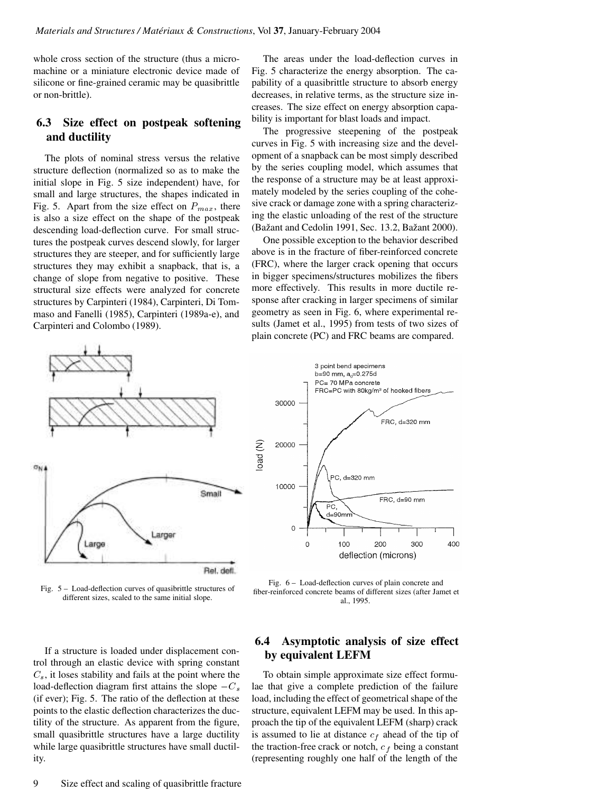whole cross section of the structure (thus a micromachine or a miniature electronic device made of silicone or fine-grained ceramic may be quasibrittle or non-brittle).

#### **6.3 Size effect on postpeak softening and ductility**

The plots of nominal stress versus the relative structure deflection (normalized so as to make the initial slope in Fig. 5 size independent) have, for small and large structures, the shapes indicated in Fig. 5. Apart from the size effect on  $P_{max}$ , there is also a size effect on the shape of the postpeak descending load-deflection curve. For small structures the postpeak curves descend slowly, for larger structures they are steeper, and for sufficiently large structures they may exhibit a snapback, that is, a change of slope from negative to positive. These structural size effects were analyzed for concrete structures by Carpinteri (1984), Carpinteri, Di Tommaso and Fanelli (1985), Carpinteri (1989a-e), and Carpinteri and Colombo (1989).



Fig. 5 – Load-deflection curves of quasibrittle structures of different sizes, scaled to the same initial slope.

If a structure is loaded under displacement control through an elastic device with spring constant  $C_s$ , it loses stability and fails at the point where the load-deflection diagram first attains the slope  $-C_s$ (if ever); Fig. 5. The ratio of the deflection at these points to the elastic deflection characterizes the ductility of the structure. As apparent from the figure, small quasibrittle structures have a large ductility while large quasibrittle structures have small ductility.

The areas under the load-deflection curves in Fig. 5 characterize the energy absorption. The capability of a quasibrittle structure to absorb energy decreases, in relative terms, as the structure size increases. The size effect on energy absorption capability is important for blast loads and impact.

The progressive steepening of the postpeak curves in Fig. 5 with increasing size and the development of a snapback can be most simply described by the series coupling model, which assumes that the response of a structure may be at least approximately modeled by the series coupling of the cohesive crack or damage zone with a spring characterizing the elastic unloading of the rest of the structure (Bažant and Cedolin 1991, Sec. 13.2, Bažant 2000).

One possible exception to the behavior described above is in the fracture of fiber-reinforced concrete (FRC), where the larger crack opening that occurs in bigger specimens/structures mobilizes the fibers more effectively. This results in more ductile response after cracking in larger specimens of similar geometry as seen in Fig. 6, where experimental results (Jamet et al., 1995) from tests of two sizes of plain concrete (PC) and FRC beams are compared.



Fig. 6 – Load-deflection curves of plain concrete and fiber-reinforced concrete beams of different sizes (after Jamet et al., 1995.

#### **6.4 Asymptotic analysis of size effect by equivalent LEFM**

To obtain simple approximate size effect formulae that give a complete prediction of the failure load, including the effect of geometrical shape of the structure, equivalent LEFM may be used. In this approach the tip of the equivalent LEFM (sharp) crack is assumed to lie at distance  $c_f$  ahead of the tip of the traction-free crack or notch,  $c_f$  being a constant (representing roughly one half of the length of the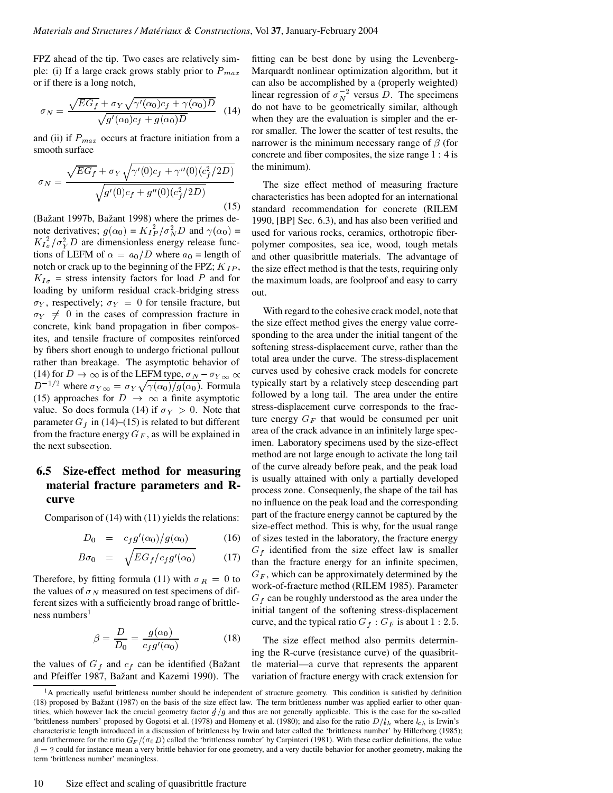FPZ ahead of the tip. Two cases are relatively simple: (i) If a large crack grows stably prior to  $P_{max}$ or if there is a long notch,

$$
\sigma_N = \frac{\sqrt{EG_f} + \sigma_Y \sqrt{\gamma'(\alpha_0)c_f + \gamma(\alpha_0)D}}{\sqrt{g'(\alpha_0)c_f + g(\alpha_0)D}} \quad (14)
$$

and (ii) if  $P_{max}$  occurs at fracture initiation from a smooth surface

$$
\sigma_N = \frac{\sqrt{EG_f} + \sigma_Y \sqrt{\gamma'(0)c_f + \gamma''(0)(c_f^2/2D)}}{\sqrt{g'(0)c_f + g''(0)(c_f^2/2D)}}
$$
(15)

(Bažant 1997b, Bažant 1998) where the primes denote derivatives;  $g(\alpha_0) = K_I^2 / \sigma_N^2 D$  and  $\gamma(\alpha_0) =$  $K_I^2/\sigma_Y^2 D$  are dimensionless energy release functions of LEFM of  $\alpha = a_0/D$  where  $a_0 =$  length of notch or crack up to the beginning of the FPZ;  $K_{IP}$ ,  $K_{I\sigma}$  = stress intensity factors for load P and for loading by uniform residual crack-bridging stress  $\sigma_Y$ , respectively;  $\sigma_Y = 0$  for tensile fracture, but  $\sigma_Y \neq 0$  in the cases of compression fracture in concrete, kink band propagation in fiber composites, and tensile fracture of composites reinforced by fibers short enough to undergo frictional pullout rather than breakage. The asymptotic behavior of (14) for  $D \to \infty$  is of the LEFM type,  $\sigma_N - \sigma_{Y\infty} \propto$  $D^{-1/2}$  where  $\sigma_{Y\infty} = \sigma_Y \sqrt{\gamma(\alpha_0)/g(\alpha_0)}$ . Formula (15) approaches for  $D \rightarrow \infty$  a finite asymptotic value. So does formula (14) if  $\sigma_Y > 0$ . Note that parameter  $G_f$  in (14)–(15) is related to but different from the fracture energy  $G_F$ , as will be explained in the next subsection.

## **6.5 Size-effect method for measuring material fracture parameters and Rcurve**

Comparison of (14) with (11) yields the relations:

$$
D_0 = c_f g'(\alpha_0) / g(\alpha_0) \tag{16}
$$

$$
B\sigma_0 = \sqrt{EG_f/c_f g'(\alpha_0)} \tag{17}
$$

Therefore, by fitting formula (11) with  $\sigma_R = 0$  to the values of  $\sigma_N$  measured on test specimens of different sizes with a sufficiently broad range of brittleness numbers $<sup>1</sup>$ </sup>

 $\sim$ 

$$
\beta = \frac{D}{D_0} = \frac{g(\alpha_0)}{c_f g'(\alpha_0)}\tag{18}
$$

the values of  $G_f$  and  $c_f$  can be identified (Bažant and Pfeiffer 1987, Bažant and Kazemi 1990). The

fitting can be best done by using the Levenberg-Marquardt nonlinear optimization algorithm, but it can also be accomplished by a (properly weighted) linear regression of  $\sigma_N^{-2}$  versus D. The specimens do not have to be geometrically similar, although when they are the evaluation is simpler and the error smaller. The lower the scatter of test results, the narrower is the minimum necessary range of  $\beta$  (for concrete and fiber composites, the size range 1 : 4 is the minimum).

The size effect method of measuring fracture characteristics has been adopted for an international standard recommendation for concrete (RILEM 1990, [BP] Sec. 6.3), and has also been verified and used for various rocks, ceramics, orthotropic fiberpolymer composites, sea ice, wood, tough metals and other quasibrittle materials. The advantage of the size effect method is that the tests, requiring only the maximum loads, are foolproof and easy to carry out.

With regard to the cohesive crack model, note that the size effect method gives the energy value corresponding to the area under the initial tangent of the softening stress-displacement curve, rather than the total area under the curve. The stress-displacement curves used by cohesive crack models for concrete typically start by a relatively steep descending part followed by a long tail. The area under the entire stress-displacement curve corresponds to the fracture energy  $G_F$  that would be consumed per unit area of the crack advance in an infinitely large specimen. Laboratory specimens used by the size-effect method are not large enough to activate the long tail of the curve already before peak, and the peak load is usually attained with only a partially developed process zone. Consequenly, the shape of the tail has no influence on the peak load and the corresponding part of the fracture energy cannot be captured by the size-effect method. This is why, for the usual range of sizes tested in the laboratory, the fracture energy  $G_f$  identified from the size effect law is smaller than the fracture energy for an infinite specimen,  $G_F$ , which can be approximately determined by the work-of-fracture method (RILEM 1985). Parameter  $G_f$  can be roughly understood as the area under the initial tangent of the softening stress-displacement curve, and the typical ratio  $G_f : G_F$  is about 1:2.5.

The size effect method also permits determining the R-curve (resistance curve) of the quasibrittle material—a curve that represents the apparent variation of fracture energy with crack extension for

<sup>&</sup>lt;sup>1</sup>A practically useful brittleness number should be independent of structure geometry. This condition is satisfied by definition (18) proposed by Bažant (1987) on the basis of the size effect law. The term brittleness number was applied earlier to other quantities, which however lack the crucial geometry factor  $g/g$  and thus are not generally applicable. This is the case for the so-called 'brittleness numbers' proposed by Gogotsi et al. (1978) and Homeny et al. (1980); and also for the ratio  $D/\ell_h$  where  $l_{ch}$  is Irwin's characteristic length introduced in a discussion of brittleness by Irwin and later called the 'brittleness number' by Hillerborg (1985); and furthermore for the ratio  $G_F/(\sigma_0 D)$  called the 'brittleness number' by Carpinteri (1981). With these earlier definitions, the value  $\beta = 2$  could for instance mean a very brittle behavior for one geometry, and a very ductile behavior for another geometry, making the term 'brittleness number' meaningless.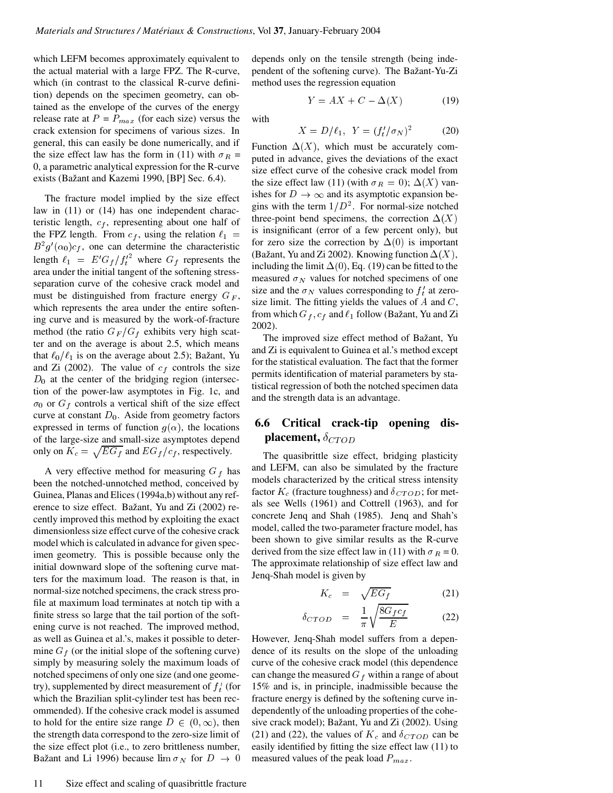which LEFM becomes approximately equivalent to the actual material with a large FPZ. The R-curve, which (in contrast to the classical R-curve definition) depends on the specimen geometry, can obtained as the envelope of the curves of the energy release rate at  $P = P_{max}$  (for each size) versus the crack extension for specimens of various sizes. In general, this can easily be done numerically, and if the size effect law has the form in (11) with  $\sigma_R$  = 0, a parametric analytical expression for the R-curve exists (Bažant and Kazemi 1990, [BP] Sec. 6.4).

The fracture model implied by the size effect law in (11) or (14) has one independent characteristic length,  $c_f$ , representing about one half of the FPZ length. From  $c_f$ , using the relation  $\ell_1$  =  $B^2g'(\alpha_0)c_f$ , one can determine the characteristic length  $\ell_1 = E' G_f / f'^2$  where  $G_f$  represents the <sup>t</sup> area under the initial tangent of the softening stressseparation curve of the cohesive crack model and must be distinguished from fracture energy  $G_F$ , which represents the area under the entire softening curve and is measured by the work-of-fracture method (the ratio  $G_F/G_f$  exhibits very high scatter and on the average is about 2.5, which means that  $\ell_0/\ell_1$  is on the average about 2.5); Bažant, Yu and Zi (2002). The value of  $c_f$  controls the size  $D_0$  at the center of the bridging region (intersection of the power-law asymptotes in Fig. 1c, and  $\sigma_0$  or  $G_f$  controls a vertical shift of the size effect curve at constant  $D_0$ . Aside from geometry factors expressed in terms of function  $g(\alpha)$ , the locations of the large-size and small-size asymptotes depend only on  $K_c = \sqrt{EG_f}$  and  $EG_f/c_f$ , respectively.

A very effective method for measuring  $G_f$  has been the notched-unnotched method, conceived by Guinea, Planas and Elices (1994a,b) without any reference to size effect. Bažant, Yu and Zi (2002) recently improved this method by exploiting the exact dimensionless size effect curve of the cohesive crack model which is calculated in advance for given specimen geometry. This is possible because only the initial downward slope of the softening curve matters for the maximum load. The reason is that, in normal-size notched specimens, the crack stress profile at maximum load terminates at notch tip with a finite stress so large that the tail portion of the softening curve is not reached. The improved method, as well as Guinea et al.'s, makes it possible to determine  $G_f$  (or the initial slope of the softening curve) simply by measuring solely the maximum loads of notched specimens of only one size (and one geometry), supplemented by direct measurement of  $f'_{t}$  (for which the Brazilian split-cylinder test has been recommended). If the cohesive crack model is assumed to hold for the entire size range  $D \in (0, \infty)$ , then the strength data correspond to the zero-size limit of the size effect plot (i.e., to zero brittleness number, Bažant and Li 1996) because  $\lim \sigma_N$  for  $D \to 0$ 

depends only on the tensile strength (being independent of the softening curve). The Bažant-Yu-Zi method uses the regression equation

$$
Y = AX + C - \Delta(X) \tag{19}
$$

with

$$
X = D/\ell_1, \ \ Y = (f'_t / \sigma_N)^2 \tag{20}
$$

Function  $\Delta(X)$ , which must be accurately computed in advance, gives the deviations of the exact size effect curve of the cohesive crack model from the size effect law (11) (with  $\sigma_R = 0$ );  $\Delta(X)$  vanishes for  $D \to \infty$  and its asymptotic expansion begins with the term  $1/D^2$ . For normal-size notched three-point bend specimens, the correction  $\Delta(X)$ is insignificant (error of a few percent only), but for zero size the correction by  $\Delta(0)$  is important (Bažant, Yu and Zi 2002). Knowing function  $\Delta(X)$ , including the limit  $\Delta(0)$ , Eq. (19) can be fitted to the measured  $\sigma_N$  values for notched specimens of one size and the  $\sigma_N$  values corresponding to  $f'_t$  at zerosize limit. The fitting yields the values of  $A$  and  $C$ , from which  $G_f$ ,  $c_f$  and  $\ell_1$  follow (Bažant, Yu and Zi 2002).

The improved size effect method of Bažant, Yu and Zi is equivalent to Guinea et al.'s method except for the statistical evaluation. The fact that the former permits identification of material parameters by statistical regression of both the notched specimen data and the strength data is an advantage.

#### **6.6 Critical crack-tip opening displacement,**  $\delta_{CTOD}$

The quasibrittle size effect, bridging plasticity and LEFM, can also be simulated by the fracture models characterized by the critical stress intensity factor  $K_c$  (fracture toughness) and  $\delta_{CTOD}$ ; for metals see Wells (1961) and Cottrell (1963), and for concrete Jenq and Shah (1985). Jenq and Shah's model, called the two-parameter fracture model, has been shown to give similar results as the R-curve derived from the size effect law in (11) with  $\sigma_R = 0$ . The approximate relationship of size effect law and Jenq-Shah model is given by

$$
K_c = \sqrt{EG_f} \tag{21}
$$

$$
\delta_{CTOD} = \frac{1}{\pi} \sqrt{\frac{8G_f c_f}{E}} \tag{22}
$$

However, Jenq-Shah model suffers from a dependence of its results on the slope of the unloading curve of the cohesive crack model (this dependence can change the measured  $G_f$  within a range of about 15% and is, in principle, inadmissible because the fracture energy is defined by the softening curve independently of the unloading properties of the cohesive crack model); Bažant, Yu and Zi (2002). Using (21) and (22), the values of  $K_c$  and  $\delta_{CTOD}$  can be easily identified by fitting the size effect law (11) to measured values of the peak load  $P_{max}$ .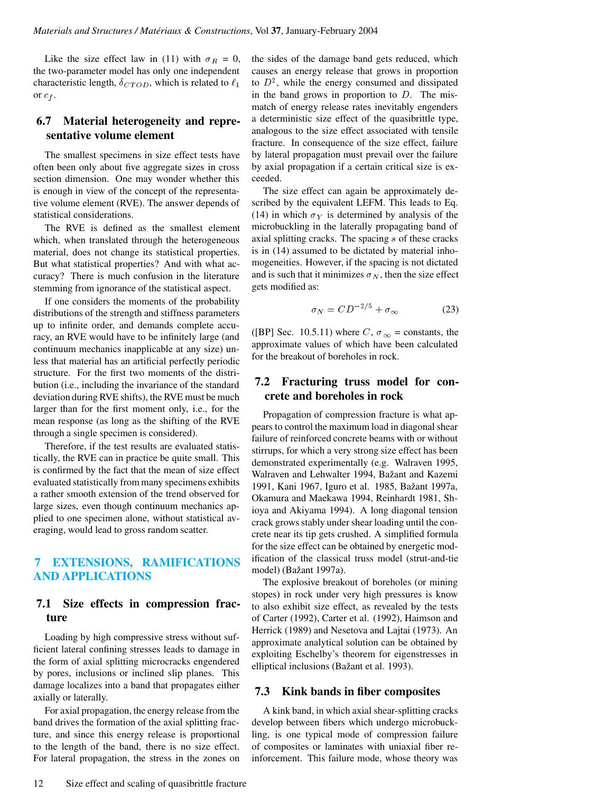Like the size effect law in (11) with  $\sigma_R = 0$ , the two-parameter model has only one independent characteristic length,  $\delta_{CTOD}$ , which is related to  $\ell_1$ or  $c_f$ .

#### **6.7 Material heterogeneity and representative volume element**

The smallest specimens in size effect tests have often been only about five aggregate sizes in cross section dimension. One may wonder whether this is enough in view of the concept of the representative volume element (RVE). The answer depends of statistical considerations.

The RVE is defined as the smallest element which, when translated through the heterogeneous material, does not change its statistical properties. But what statistical properties? And with what accuracy? There is much confusion in the literature stemming from ignorance of the statistical aspect.

If one considers the moments of the probability distributions of the strength and stiffness parameters up to infinite order, and demands complete accuracy, an RVE would have to be infinitely large (and continuum mechanics inapplicable at any size) unless that material has an artificial perfectly periodic structure. For the first two moments of the distribution (i.e., including the invariance of the standard deviation during RVE shifts), the RVE must be much larger than for the first moment only, i.e., for the mean response (as long as the shifting of the RVE through a single specimen is considered).

Therefore, if the test results are evaluated statistically, the RVE can in practice be quite small. This is confirmed by the fact that the mean of size effect evaluated statistically from many specimens exhibits a rather smooth extension of the trend observed for large sizes, even though continuum mechanics applied to one specimen alone, without statistical averaging, would lead to gross random scatter.

#### **7 EXTENSIONS, RAMIFICATIONS AND APPLICATIONS**

#### **7.1 Size effects in compression fracture**

Loading by high compressive stress without sufficient lateral confining stresses leads to damage in the form of axial splitting microcracks engendered by pores, inclusions or inclined slip planes. This damage localizes into a band that propagates either axially or laterally.

For axial propagation, the energy release from the band drives the formation of the axial splitting fracture, and since this energy release is proportional to the length of the band, there is no size effect. For lateral propagation, the stress in the zones on the sides of the damage band gets reduced, which causes an energy release that grows in proportion to  $D<sup>2</sup>$ , while the energy consumed and dissipated in the band grows in proportion to  $D$ . The mismatch of energy release rates inevitably engenders a deterministic size effect of the quasibrittle type, analogous to the size effect associated with tensile fracture. In consequence of the size effect, failure by lateral propagation must prevail over the failure by axial propagation if a certain critical size is exceeded.

The size effect can again be approximately described by the equivalent LEFM. This leads to Eq. (14) in which  $\sigma_Y$  is determined by analysis of the microbuckling in the laterally propagating band of axial splitting cracks. The spacing <sup>s</sup> of these cracks is in (14) assumed to be dictated by material inhomogeneities. However, if the spacing is not dictated and is such that it minimizes  $\sigma_N$ , then the size effect gets modified as:

$$
\sigma_N = CD^{-2/5} + \sigma_\infty \tag{23}
$$

([BP] Sec. 10.5.11) where C,  $\sigma_{\infty}$  = constants, the approximate values of which have been calculated for the breakout of boreholes in rock.

#### **7.2 Fracturing truss model for concrete and boreholes in rock**

Propagation of compression fracture is what appears to control the maximum load in diagonal shear failure of reinforced concrete beams with or without stirrups, for which a very strong size effect has been demonstrated experimentally (e.g. Walraven 1995, Walraven and Lehwalter 1994, Bažant and Kazemi 1991, Kani 1967, Iguro et al. 1985, Bažant 1997a, Okamura and Maekawa 1994, Reinhardt 1981, Shioya and Akiyama 1994). A long diagonal tension crack grows stably under shear loading until the concrete near its tip gets crushed. A simplified formula for the size effect can be obtained by energetic modification of the classical truss model (strut-and-tie model) (Bažant 1997a).

The explosive breakout of boreholes (or mining stopes) in rock under very high pressures is know to also exhibit size effect, as revealed by the tests of Carter (1992), Carter et al. (1992), Haimson and Herrick (1989) and Nesetova and Lajtai (1973). An approximate analytical solution can be obtained by exploiting Eschelby's theorem for eigenstresses in elliptical inclusions (Bažant et al. 1993).

#### **7.3 Kink bands in fiber composites**

A kink band, in which axial shear-splitting cracks develop between fibers which undergo microbuckling, is one typical mode of compression failure of composites or laminates with uniaxial fiber reinforcement. This failure mode, whose theory was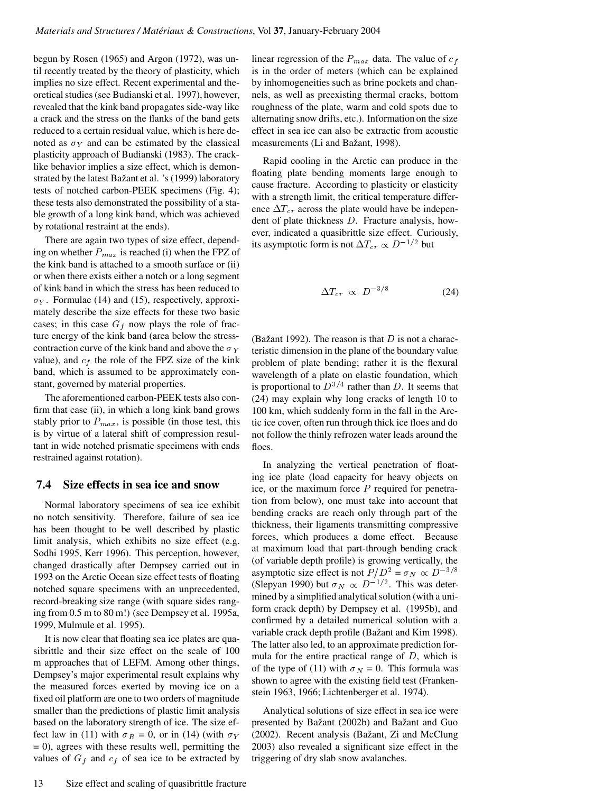begun by Rosen (1965) and Argon (1972), was until recently treated by the theory of plasticity, which implies no size effect. Recent experimental and theoretical studies (see Budianski et al. 1997), however, revealed that the kink band propagates side-way like a crack and the stress on the flanks of the band gets reduced to a certain residual value, which is here denoted as  $\sigma_Y$  and can be estimated by the classical plasticity approach of Budianski (1983). The cracklike behavior implies a size effect, which is demonstrated by the latest Bažant et al. 's (1999) laboratory tests of notched carbon-PEEK specimens (Fig. 4); these tests also demonstrated the possibility of a stable growth of a long kink band, which was achieved by rotational restraint at the ends).

There are again two types of size effect, depending on whether  $P_{max}$  is reached (i) when the FPZ of the kink band is attached to a smooth surface or (ii) or when there exists either a notch or a long segment of kink band in which the stress has been reduced to  $\sigma_Y$ . Formulae (14) and (15), respectively, approximately describe the size effects for these two basic cases; in this case  $G_f$  now plays the role of fracture energy of the kink band (area below the stresscontraction curve of the kink band and above the  $\sigma_Y$ value), and  $c_f$  the role of the FPZ size of the kink band, which is assumed to be approximately constant, governed by material properties.

The aforementioned carbon-PEEK tests also confirm that case (ii), in which a long kink band grows stably prior to  $P_{max}$ , is possible (in those test, this is by virtue of a lateral shift of compression resultant in wide notched prismatic specimens with ends restrained against rotation).

#### **7.4 Size effects in sea ice and snow**

Normal laboratory specimens of sea ice exhibit no notch sensitivity. Therefore, failure of sea ice has been thought to be well described by plastic limit analysis, which exhibits no size effect (e.g. Sodhi 1995, Kerr 1996). This perception, however, changed drastically after Dempsey carried out in 1993 on the Arctic Ocean size effect tests of floating notched square specimens with an unprecedented, record-breaking size range (with square sides ranging from 0.5 m to 80 m!) (see Dempsey et al. 1995a, 1999, Mulmule et al. 1995).

It is now clear that floating sea ice plates are quasibrittle and their size effect on the scale of 100 m approaches that of LEFM. Among other things, Dempsey's major experimental result explains why the measured forces exerted by moving ice on a fixed oil platform are one to two orders of magnitude smaller than the predictions of plastic limit analysis based on the laboratory strength of ice. The size effect law in (11) with  $\sigma_R = 0$ , or in (14) (with  $\sigma_Y$  $= 0$ ), agrees with these results well, permitting the values of  $G_f$  and  $c_f$  of sea ice to be extracted by linear regression of the  $P_{max}$  data. The value of  $c_f$ is in the order of meters (which can be explained by inhomogeneities such as brine pockets and channels, as well as preexisting thermal cracks, bottom roughness of the plate, warm and cold spots due to alternating snow drifts, etc.). Information on the size effect in sea ice can also be extractic from acoustic measurements (Li and Bažant, 1998).

Rapid cooling in the Arctic can produce in the floating plate bending moments large enough to cause fracture. According to plasticity or elasticity with a strength limit, the critical temperature difference  $\Delta T_{cr}$  across the plate would have be independent of plate thickness <sup>D</sup>. Fracture analysis, however, indicated a quasibrittle size effect. Curiously, its asymptotic form is not  $\Delta T_{cr} \propto D^{-1/2}$  but

$$
\Delta T_{cr} \propto D^{-3/8} \tag{24}
$$

(Bažant 1992). The reason is that  $D$  is not a characteristic dimension in the plane of the boundary value problem of plate bending; rather it is the flexural wavelength of a plate on elastic foundation, which is proportional to  $D^{3/4}$  rather than D. It seems that (24) may explain why long cracks of length 10 to 100 km, which suddenly form in the fall in the Arctic ice cover, often run through thick ice floes and do not follow the thinly refrozen water leads around the floes.

In analyzing the vertical penetration of floating ice plate (load capacity for heavy objects on ice, or the maximum force  $P$  required for penetration from below), one must take into account that bending cracks are reach only through part of the thickness, their ligaments transmitting compressive forces, which produces a dome effect. Because at maximum load that part-through bending crack (of variable depth profile) is growing vertically, the asymptotic size effect is not  $P/D^2 = \sigma_N \propto D^{-3/8}$ (Slepyan 1990) but  $\sigma_N \propto D^{-1/2}$ . This was determined by a simplified analytical solution (with a uniform crack depth) by Dempsey et al. (1995b), and confirmed by a detailed numerical solution with a variable crack depth profile (Bažant and Kim 1998). The latter also led, to an approximate prediction formula for the entire practical range of  $D$ , which is of the type of (11) with  $\sigma_N = 0$ . This formula was shown to agree with the existing field test (Frankenstein 1963, 1966; Lichtenberger et al. 1974).

Analytical solutions of size effect in sea ice were presented by Bažant (2002b) and Bažant and Guo (2002). Recent analysis (Bažant, Zi and McClung 2003) also revealed a significant size effect in the triggering of dry slab snow avalanches.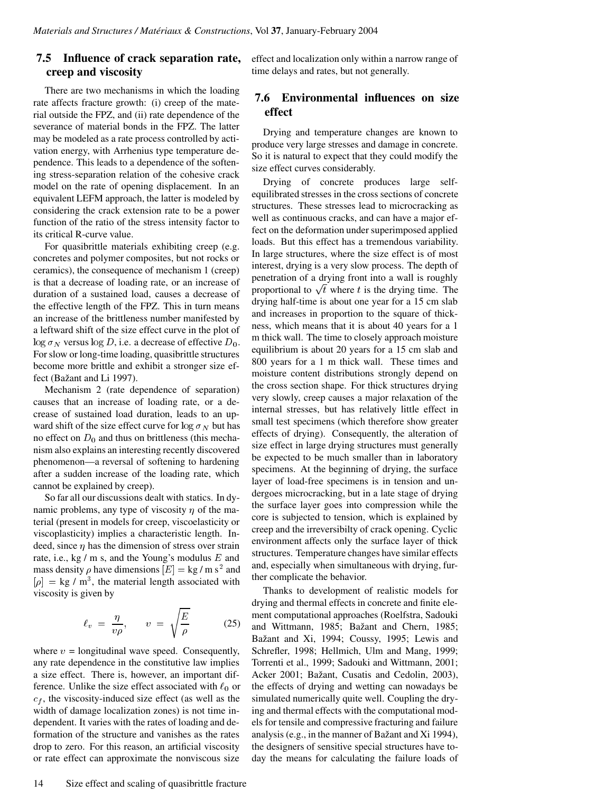#### **7.5 Influence of crack separation rate, creep and viscosity**

There are two mechanisms in which the loading rate affects fracture growth: (i) creep of the material outside the FPZ, and (ii) rate dependence of the severance of material bonds in the FPZ. The latter may be modeled as a rate process controlled by activation energy, with Arrhenius type temperature dependence. This leads to a dependence of the softening stress-separation relation of the cohesive crack model on the rate of opening displacement. In an equivalent LEFM approach, the latter is modeled by considering the crack extension rate to be a power function of the ratio of the stress intensity factor to its critical R-curve value.

For quasibrittle materials exhibiting creep (e.g. concretes and polymer composites, but not rocks or ceramics), the consequence of mechanism 1 (creep) is that a decrease of loading rate, or an increase of duration of a sustained load, causes a decrease of the effective length of the FPZ. This in turn means an increase of the brittleness number manifested by a leftward shift of the size effect curve in the plot of  $\log \sigma_N$  versus  $\log D$ , i.e. a decrease of effective  $D_0$ . For slow or long-time loading, quasibrittle structures become more brittle and exhibit a stronger size effect (Bažant and Li 1997).

Mechanism 2 (rate dependence of separation) causes that an increase of loading rate, or a decrease of sustained load duration, leads to an upward shift of the size effect curve for  $\log \sigma_N$  but has no effect on  $D_0$  and thus on brittleness (this mechanism also explains an interesting recently discovered phenomenon—a reversal of softening to hardening after a sudden increase of the loading rate, which cannot be explained by creep).

So far all our discussions dealt with statics. In dynamic problems, any type of viscosity  $\eta$  of the material (present in models for creep, viscoelasticity or viscoplasticity) implies a characteristic length. Indeed, since  $\eta$  has the dimension of stress over strain rate, i.e., kg / m s, and the Young's modulus  $E$  and mass density  $\rho$  have dimensions  $|E| = \text{kg/m s}^2$  and  $[\rho] = \text{kg} / \text{m}^3$ , the material length associated with viscosity is given by

$$
\ell_v = \frac{\eta}{v\rho}, \qquad v = \sqrt{\frac{E}{\rho}} \tag{25}
$$

s and the state of the state of the

where  $v =$  longitudinal wave speed. Consequently, any rate dependence in the constitutive law implies a size effect. There is, however, an important difference. Unlike the size effect associated with  $\ell_0$  or  $c_f$ , the viscosity-induced size effect (as well as the width of damage localization zones) is not time independent. It varies with the rates of loading and deformation of the structure and vanishes as the rates drop to zero. For this reason, an artificial viscosity or rate effect can approximate the nonviscous size effect and localization only within a narrow range of time delays and rates, but not generally.

#### **7.6 Environmental influences on size effect**

Drying and temperature changes are known to produce very large stresses and damage in concrete. So it is natural to expect that they could modify the size effect curves considerably.

Drying of concrete produces large selfequilibrated stresses in the cross sections of concrete structures. These stresses lead to microcracking as well as continuous cracks, and can have a major effect on the deformation under superimposed applied loads. But this effect has a tremendous variability. In large structures, where the size effect is of most interest, drying is a very slow process. The depth of penetration of a drying front into a wall is roughly proportional to  $\sqrt{t}$  where t is the drying time. The drying half-time is about one year for a 15 cm slab and increases in proportion to the square of thickness, which means that it is about 40 years for a 1 m thick wall. The time to closely approach moisture equilibrium is about 20 years for a 15 cm slab and 800 years for a 1 m thick wall. These times and moisture content distributions strongly depend on the cross section shape. For thick structures drying very slowly, creep causes a major relaxation of the internal stresses, but has relatively little effect in small test specimens (which therefore show greater effects of drying). Consequently, the alteration of size effect in large drying structures must generally be expected to be much smaller than in laboratory specimens. At the beginning of drying, the surface layer of load-free specimens is in tension and undergoes microcracking, but in a late stage of drying the surface layer goes into compression while the core is subjected to tension, which is explained by creep and the irreversibilty of crack opening. Cyclic environment affects only the surface layer of thick structures. Temperature changes have similar effects and, especially when simultaneous with drying, further complicate the behavior.

Thanks to development of realistic models for drying and thermal effects in concrete and finite element computational approaches (Roelfstra, Sadouki and Wittmann, 1985; Bažant and Chern, 1985; Bažant and Xi, 1994; Coussy, 1995; Lewis and Schrefler, 1998; Hellmich, Ulm and Mang, 1999; Torrenti et al., 1999; Sadouki and Wittmann, 2001; Acker 2001; Bažant, Cusatis and Cedolin, 2003), the effects of drying and wetting can nowadays be simulated numerically quite well. Coupling the drying and thermal effects with the computational models for tensile and compressive fracturing and failure analysis (e.g., in the manner of Bažant and Xi 1994), the designers of sensitive special structures have today the means for calculating the failure loads of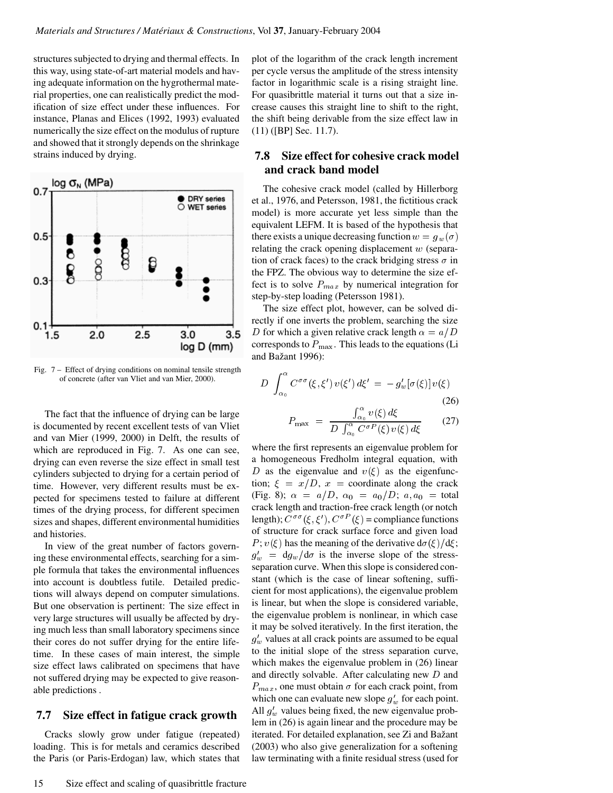structures subjected to drying and thermal effects. In this way, using state-of-art material models and having adequate information on the hygrothermal material properties, one can realistically predict the modification of size effect under these influences. For instance, Planas and Elices (1992, 1993) evaluated numerically the size effect on the modulus of rupture and showed that it strongly depends on the shrinkage strains induced by drying.



Fig. 7 – Effect of drying conditions on nominal tensile strength of concrete (after van Vliet and van Mier, 2000).

The fact that the influence of drying can be large is documented by recent excellent tests of van Vliet and van Mier (1999, 2000) in Delft, the results of which are reproduced in Fig. 7. As one can see, drying can even reverse the size effect in small test cylinders subjected to drying for a certain period of time. However, very different results must be expected for specimens tested to failure at different times of the drying process, for different specimen sizes and shapes, different environmental humidities and histories.

In view of the great number of factors governing these environmental effects, searching for a simple formula that takes the environmental influences into account is doubtless futile. Detailed predictions will always depend on computer simulations. But one observation is pertinent: The size effect in very large structures will usually be affected by drying much less than small laboratory specimens since their cores do not suffer drying for the entire lifetime. In these cases of main interest, the simple size effect laws calibrated on specimens that have not suffered drying may be expected to give reasonable predictions .

#### **7.7 Size effect in fatigue crack growth**

Cracks slowly grow under fatigue (repeated) loading. This is for metals and ceramics described the Paris (or Paris-Erdogan) law, which states that plot of the logarithm of the crack length increment per cycle versus the amplitude of the stress intensity factor in logarithmic scale is a rising straight line. For quasibrittle material it turns out that a size increase causes this straight line to shift to the right, the shift being derivable from the size effect law in (11) ([BP] Sec. 11.7).

#### **7.8 Size effect for cohesive crack model and crack band model**

The cohesive crack model (called by Hillerborg et al., 1976, and Petersson, 1981, the fictitious crack model) is more accurate yet less simple than the equivalent LEFM. It is based of the hypothesis that there exists a unique decreasing function  $w = g_w(\sigma)$ relating the crack opening displacement  $w$  (separation of crack faces) to the crack bridging stress  $\sigma$  in the FPZ. The obvious way to determine the size effect is to solve  $P_{max}$  by numerical integration for step-by-step loading (Petersson 1981).

The size effect plot, however, can be solved directly if one inverts the problem, searching the size D for which a given relative crack length  $\alpha = a/D$ corresponds to  $P_{\text{max}}$ . This leads to the equations (Li and Bažant 1996):

$$
D \int_{\alpha_0}^{\alpha} C^{\sigma \sigma}(\xi, \xi') \, v(\xi') \, d\xi' = -g'_{w} [\sigma(\xi)] \, v(\xi)
$$
\n
$$
G^{\alpha} \quad (26)
$$

$$
P_{\text{max}} = \frac{\int_{\alpha_0}^{\alpha} v(\xi) d\xi}{D \int_{\alpha_0}^{\alpha} C^{\sigma P}(\xi) v(\xi) d\xi}
$$
 (27)

where the first represents an eigenvalue problem for a homogeneous Fredholm integral equation, with D as the eigenvalue and  $v(\xi)$  as the eigenfunction;  $\xi = x/D$ ,  $x =$  coordinate along the crack (Fig. 8);  $\alpha = a/D$ ,  $\alpha_0 = a_0/D$ ;  $a, a_0 = \text{total}$ crack length and traction-free crack length (or notch length);  $C^{\sigma\sigma}(\xi, \xi'), C^{\sigma P}(\xi)$  = compliance functions of structure for crack surface force and given load  $P$ ;  $v(\xi)$  has the meaning of the derivative  $d\sigma(\xi)/d\xi$ ;  $g'_w = dg_w/d\sigma$  is the inverse slope of the stressseparation curve. When this slope is considered constant (which is the case of linear softening, sufficient for most applications), the eigenvalue problem is linear, but when the slope is considered variable, the eigenvalue problem is nonlinear, in which case it may be solved iteratively. In the first iteration, the  $g'_w$  values at all crack points are assumed to be equal to the initial slope of the stress separation curve, which makes the eigenvalue problem in (26) linear and directly solvable. After calculating new <sup>D</sup> and  $P_{max}$ , one must obtain  $\sigma$  for each crack point, from which one can evaluate new slope  $g'_w$  for each point. All  $g'_w$  values being fixed, the new eigenvalue problem in (26) is again linear and the procedure may be iterated. For detailed explanation, see Zi and Bažant (2003) who also give generalization for a softening law terminating with a finite residual stress (used for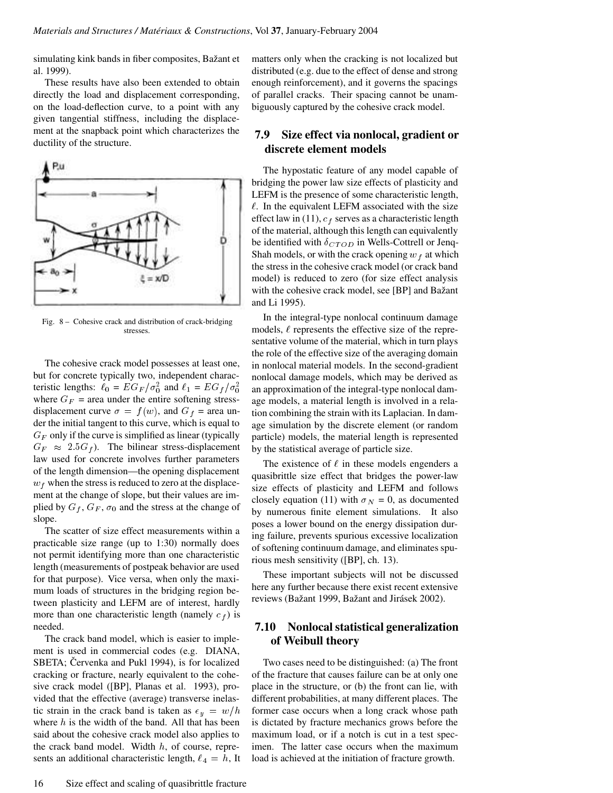simulating kink bands in fiber composites, Bažant et al. 1999).

These results have also been extended to obtain directly the load and displacement corresponding, on the load-deflection curve, to a point with any given tangential stiffness, including the displacement at the snapback point which characterizes the ductility of the structure.



Fig. 8 – Cohesive crack and distribution of crack-bridging stresses.

The cohesive crack model possesses at least one, but for concrete typically two, independent characteristic lengths:  $\ell_0 = EG_F / \sigma_0^2$  and  $\ell_1 = EG_f / \sigma_0^2$ where  $G_F$  = area under the entire softening stressdisplacement curve  $\sigma = f(w)$ , and  $G_f$  = area under the initial tangent to this curve, which is equal to  $G_F$  only if the curve is simplified as linear (typically  $G_F \approx 2.5 G_f$ ). The bilinear stress-displacement law used for concrete involves further parameters of the length dimension—the opening displacement  $w_f$  when the stress is reduced to zero at the displacement at the change of slope, but their values are implied by  $G_f$ ,  $G_F$ ,  $\sigma_0$  and the stress at the change of slope.

The scatter of size effect measurements within a practicable size range (up to 1:30) normally does not permit identifying more than one characteristic length (measurements of postpeak behavior are used for that purpose). Vice versa, when only the maximum loads of structures in the bridging region between plasticity and LEFM are of interest, hardly more than one characteristic length (namely  $c_f$ ) is needed.

The crack band model, which is easier to implement is used in commercial codes (e.g. DIANA, SBETA; Červenka and Pukl 1994), is for localized cracking or fracture, nearly equivalent to the cohesive crack model ([BP], Planas et al. 1993), provided that the effective (average) transverse inelastic strain in the crack band is taken as  $\epsilon_y = w/h$ where  $h$  is the width of the band. All that has been said about the cohesive crack model also applies to the crack band model. Width  $h$ , of course, represents an additional characteristic length,  $\ell_4 = h$ , It matters only when the cracking is not localized but distributed (e.g. due to the effect of dense and strong enough reinforcement), and it governs the spacings of parallel cracks. Their spacing cannot be unambiguously captured by the cohesive crack model.

#### **7.9 Size effect via nonlocal, gradient or discrete element models**

The hypostatic feature of any model capable of bridging the power law size effects of plasticity and LEFM is the presence of some characteristic length,  $\ell$ . In the equivalent LEFM associated with the size effect law in (11),  $c_f$  serves as a characteristic length of the material, although this length can equivalently be identified with  $\delta_{CTOD}$  in Wells-Cottrell or Jenq-Shah models, or with the crack opening  $w_f$  at which the stress in the cohesive crack model (or crack band model) is reduced to zero (for size effect analysis with the cohesive crack model, see [BP] and Bažant and Li 1995).

In the integral-type nonlocal continuum damage models,  $\ell$  represents the effective size of the representative volume of the material, which in turn plays the role of the effective size of the averaging domain in nonlocal material models. In the second-gradient nonlocal damage models, which may be derived as an approximation of the integral-type nonlocal damage models, a material length is involved in a relation combining the strain with its Laplacian. In damage simulation by the discrete element (or random particle) models, the material length is represented by the statistical average of particle size.

The existence of  $\ell$  in these models engenders a quasibrittle size effect that bridges the power-law size effects of plasticity and LEFM and follows closely equation (11) with  $\sigma_N = 0$ , as documented by numerous finite element simulations. It also poses a lower bound on the energy dissipation during failure, prevents spurious excessive localization of softening continuum damage, and eliminates spurious mesh sensitivity ([BP], ch. 13).

These important subjects will not be discussed here any further because there exist recent extensive reviews (Bažant 1999, Bažant and Jirásek 2002).

### **7.10 Nonlocal statistical generalization of Weibull theory**

Two cases need to be distinguished: (a) The front of the fracture that causes failure can be at only one place in the structure, or (b) the front can lie, with different probabilities, at many different places. The former case occurs when a long crack whose path is dictated by fracture mechanics grows before the maximum load, or if a notch is cut in a test specimen. The latter case occurs when the maximum load is achieved at the initiation of fracture growth.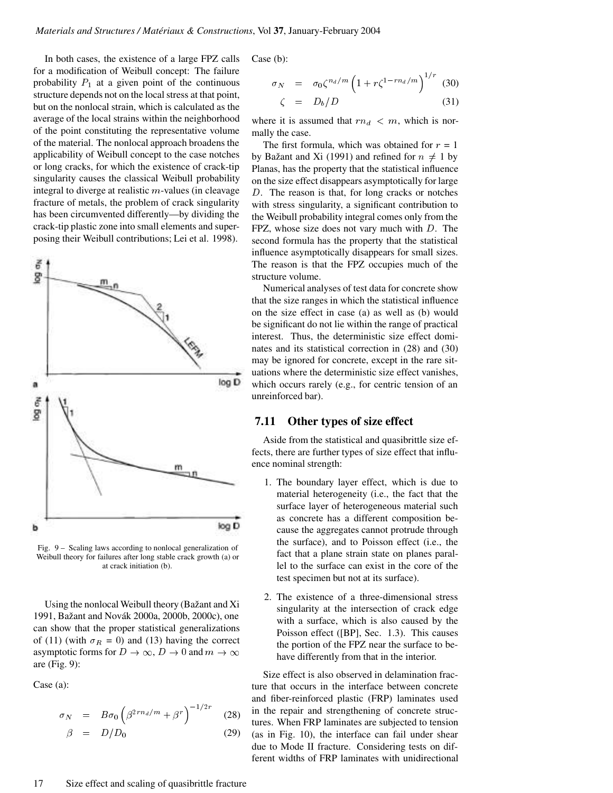In both cases, the existence of a large FPZ calls for a modification of Weibull concept: The failure probability  $P_1$  at a given point of the continuous structure depends not on the local stress at that point, but on the nonlocal strain, which is calculated as the average of the local strains within the neighborhood of the point constituting the representative volume of the material. The nonlocal approach broadens the applicability of Weibull concept to the case notches or long cracks, for which the existence of crack-tip singularity causes the classical Weibull probability integral to diverge at realistic <sup>m</sup>-values (in cleavage fracture of metals, the problem of crack singularity has been circumvented differently—by dividing the crack-tip plastic zone into small elements and superposing their Weibull contributions; Lei et al. 1998).



Fig. 9 – Scaling laws according to nonlocal generalization of Weibull theory for failures after long stable crack growth (a) or at crack initiation (b).

Using the nonlocal Weibull theory (Bažant and Xi 1991, Bažant and Novák 2000a, 2000b, 2000c), one can show that the proper statistical generalizations of (11) (with  $\sigma_R = 0$ ) and (13) having the correct asymptotic forms for  $D \to \infty$ ,  $D \to 0$  and  $m \to \infty$ are (Fig. 9):

Case (a):

$$
\sigma_N = B\sigma_0 \left(\beta^{2rn_d/m} + \beta^r\right)^{-1/2r} \quad (28)
$$

$$
\beta = D/D_0 \quad (29)
$$

Case (b):

$$
\sigma_N = \sigma_0 \zeta^{n_d/m} \left( 1 + r \zeta^{1 - rn_d/m} \right)^{1/r} (30)
$$
  

$$
\zeta = D_b/D \qquad (31)
$$

where it is assumed that  $rn_d < m$ , which is normally the case.

The first formula, which was obtained for  $r = 1$ by Bažant and Xi (1991) and refined for  $n \neq 1$  by Planas, has the property that the statistical influence on the size effect disappears asymptotically for large <sup>D</sup>. The reason is that, for long cracks or notches with stress singularity, a significant contribution to the Weibull probability integral comes only from the FPZ, whose size does not vary much with <sup>D</sup>. The second formula has the property that the statistical influence asymptotically disappears for small sizes. The reason is that the FPZ occupies much of the structure volume.

Numerical analyses of test data for concrete show that the size ranges in which the statistical influence on the size effect in case (a) as well as (b) would be significant do not lie within the range of practical interest. Thus, the deterministic size effect dominates and its statistical correction in (28) and (30) may be ignored for concrete, except in the rare situations where the deterministic size effect vanishes, which occurs rarely (e.g., for centric tension of an unreinforced bar).

#### **7.11 Other types of size effect**

Aside from the statistical and quasibrittle size effects, there are further types of size effect that influence nominal strength:

- 1. The boundary layer effect, which is due to material heterogeneity (i.e., the fact that the surface layer of heterogeneous material such as concrete has a different composition because the aggregates cannot protrude through the surface), and to Poisson effect (i.e., the fact that a plane strain state on planes parallel to the surface can exist in the core of the test specimen but not at its surface).
- 2. The existence of a three-dimensional stress singularity at the intersection of crack edge with a surface, which is also caused by the Poisson effect ([BP], Sec. 1.3). This causes the portion of the FPZ near the surface to behave differently from that in the interior.

Size effect is also observed in delamination fracture that occurs in the interface between concrete and fiber-reinforced plastic (FRP) laminates used in the repair and strengthening of concrete structures. When FRP laminates are subjected to tension (as in Fig. 10), the interface can fail under shear due to Mode II fracture. Considering tests on different widths of FRP laminates with unidirectional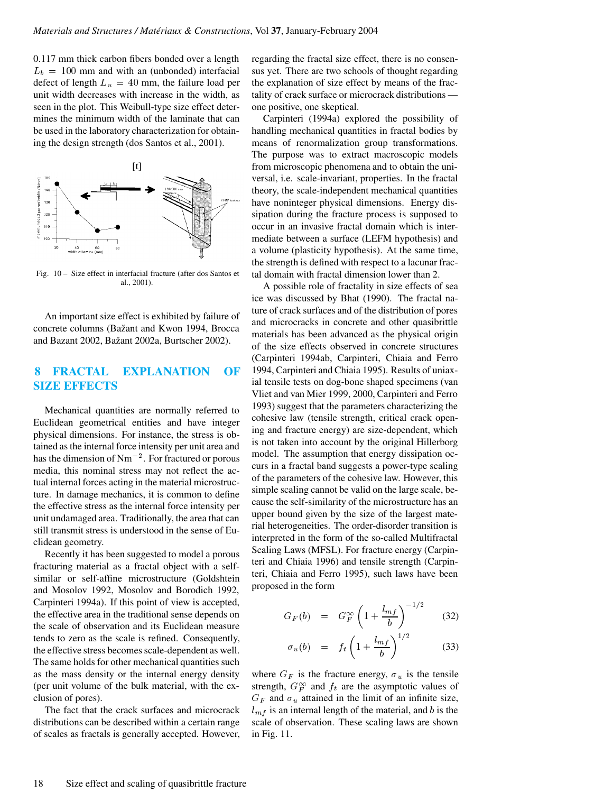0.117 mm thick carbon fibers bonded over a length  $L_b = 100$  mm and with an (unbonded) interfacial defect of length  $L_u = 40$  mm, the failure load per unit width decreases with increase in the width, as seen in the plot. This Weibull-type size effect determines the minimum width of the laminate that can be used in the laboratory characterization for obtaining the design strength (dos Santos et al., 2001).



Fig. 10 – Size effect in interfacial fracture (after dos Santos et al., 2001).

An important size effect is exhibited by failure of concrete columns (Bažant and Kwon 1994, Brocca and Bazant 2002, Bažant 2002a, Burtscher 2002).

#### **8 FRACTAL EXPLANATION OF SIZE EFFECTS**

Mechanical quantities are normally referred to Euclidean geometrical entities and have integer physical dimensions. For instance, the stress is obtained as the internal force intensity per unit area and has the dimension of  $Nm^{-2}$ . For fractured or porous media, this nominal stress may not reflect the actual internal forces acting in the material microstructure. In damage mechanics, it is common to define the effective stress as the internal force intensity per unit undamaged area. Traditionally, the area that can still transmit stress is understood in the sense of Euclidean geometry.

Recently it has been suggested to model a porous fracturing material as a fractal object with a selfsimilar or self-affine microstructure (Goldshtein and Mosolov 1992, Mosolov and Borodich 1992, Carpinteri 1994a). If this point of view is accepted, the effective area in the traditional sense depends on the scale of observation and its Euclidean measure tends to zero as the scale is refined. Consequently, the effective stress becomes scale-dependent as well. The same holds for other mechanical quantities such as the mass density or the internal energy density (per unit volume of the bulk material, with the exclusion of pores).

The fact that the crack surfaces and microcrack distributions can be described within a certain range of scales as fractals is generally accepted. However, regarding the fractal size effect, there is no consensus yet. There are two schools of thought regarding the explanation of size effect by means of the fractality of crack surface or microcrack distributions one positive, one skeptical.

Carpinteri (1994a) explored the possibility of handling mechanical quantities in fractal bodies by means of renormalization group transformations. The purpose was to extract macroscopic models from microscopic phenomena and to obtain the universal, i.e. scale-invariant, properties. In the fractal theory, the scale-independent mechanical quantities have noninteger physical dimensions. Energy dissipation during the fracture process is supposed to occur in an invasive fractal domain which is intermediate between a surface (LEFM hypothesis) and a volume (plasticity hypothesis). At the same time, the strength is defined with respect to a lacunar fractal domain with fractal dimension lower than 2.

A possible role of fractality in size effects of sea ice was discussed by Bhat (1990). The fractal nature of crack surfaces and of the distribution of pores and microcracks in concrete and other quasibrittle materials has been advanced as the physical origin of the size effects observed in concrete structures (Carpinteri 1994ab, Carpinteri, Chiaia and Ferro 1994, Carpinteri and Chiaia 1995). Results of uniaxial tensile tests on dog-bone shaped specimens (van Vliet and van Mier 1999, 2000, Carpinteri and Ferro 1993) suggest that the parameters characterizing the cohesive law (tensile strength, critical crack opening and fracture energy) are size-dependent, which is not taken into account by the original Hillerborg model. The assumption that energy dissipation occurs in a fractal band suggests a power-type scaling of the parameters of the cohesive law. However, this simple scaling cannot be valid on the large scale, because the self-similarity of the microstructure has an upper bound given by the size of the largest material heterogeneities. The order-disorder transition is interpreted in the form of the so-called Multifractal Scaling Laws (MFSL). For fracture energy (Carpinteri and Chiaia 1996) and tensile strength (Carpinteri, Chiaia and Ferro 1995), such laws have been proposed in the form

$$
G_F(b) = G_F^{\infty} \left( 1 + \frac{l_{mf}}{b} \right)^{-1/2} \tag{32}
$$

$$
\sigma_u(b) = f_t \left( 1 + \frac{l_{mf}}{b} \right)^{1/2} \tag{33}
$$

where  $G_F$  is the fracture energy,  $\sigma_u$  is the tensile strength,  $G_F^{\infty}$  and  $f_t$  are the asymptotic values of  $G_F$  and  $\sigma_u$  attained in the limit of an infinite size,  $l_{mf}$  is an internal length of the material, and b is the scale of observation. These scaling laws are shown in Fig. 11.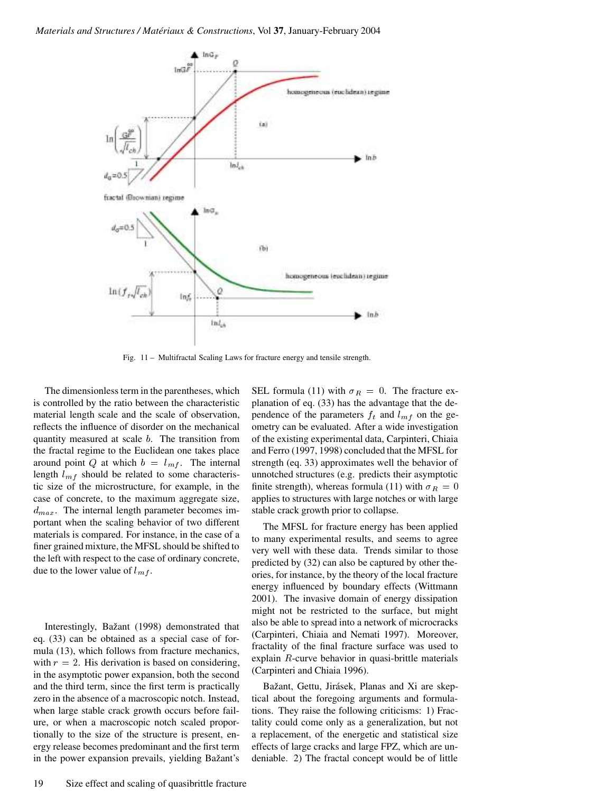

Fig. 11 – Multifractal Scaling Laws for fracture energy and tensile strength.

The dimensionless term in the parentheses, which is controlled by the ratio between the characteristic material length scale and the scale of observation, reflects the influence of disorder on the mechanical quantity measured at scale <sup>b</sup>. The transition from the fractal regime to the Euclidean one takes place around point Q at which  $b = l_{mf}$ . The internal length  $l_{mf}$  should be related to some characteristic size of the microstructure, for example, in the case of concrete, to the maximum aggregate size,  $d_{max}$ . The internal length parameter becomes important when the scaling behavior of two different materials is compared. For instance, in the case of a finer grained mixture, the MFSL should be shifted to the left with respect to the case of ordinary concrete, due to the lower value of  $l_{mf}$ .

Interestingly, Bažant (1998) demonstrated that eq. (33) can be obtained as a special case of formula (13), which follows from fracture mechanics, with  $r = 2$ . His derivation is based on considering, in the asymptotic power expansion, both the second and the third term, since the first term is practically zero in the absence of a macroscopic notch. Instead, when large stable crack growth occurs before failure, or when a macroscopic notch scaled proportionally to the size of the structure is present, energy release becomes predominant and the first term in the power expansion prevails, yielding Bažant's

SEL formula (11) with  $\sigma_R = 0$ . The fracture explanation of eq. (33) has the advantage that the dependence of the parameters  $f_t$  and  $l_{mf}$  on the geometry can be evaluated. After a wide investigation of the existing experimental data, Carpinteri, Chiaia and Ferro (1997, 1998) concluded that the MFSL for strength (eq. 33) approximates well the behavior of unnotched structures (e.g. predicts their asymptotic finite strength), whereas formula (11) with  $\sigma_R = 0$ applies to structures with large notches or with large stable crack growth prior to collapse.

The MFSL for fracture energy has been applied to many experimental results, and seems to agree very well with these data. Trends similar to those predicted by (32) can also be captured by other theories, for instance, by the theory of the local fracture energy influenced by boundary effects (Wittmann 2001). The invasive domain of energy dissipation might not be restricted to the surface, but might also be able to spread into a network of microcracks (Carpinteri, Chiaia and Nemati 1997). Moreover, fractality of the final fracture surface was used to explain <sup>R</sup>-curve behavior in quasi-brittle materials (Carpinteri and Chiaia 1996).

Bažant, Gettu, Jirásek, Planas and Xi are skeptical about the foregoing arguments and formulations. They raise the following criticisms: 1) Fractality could come only as a generalization, but not a replacement, of the energetic and statistical size effects of large cracks and large FPZ, which are undeniable. 2) The fractal concept would be of little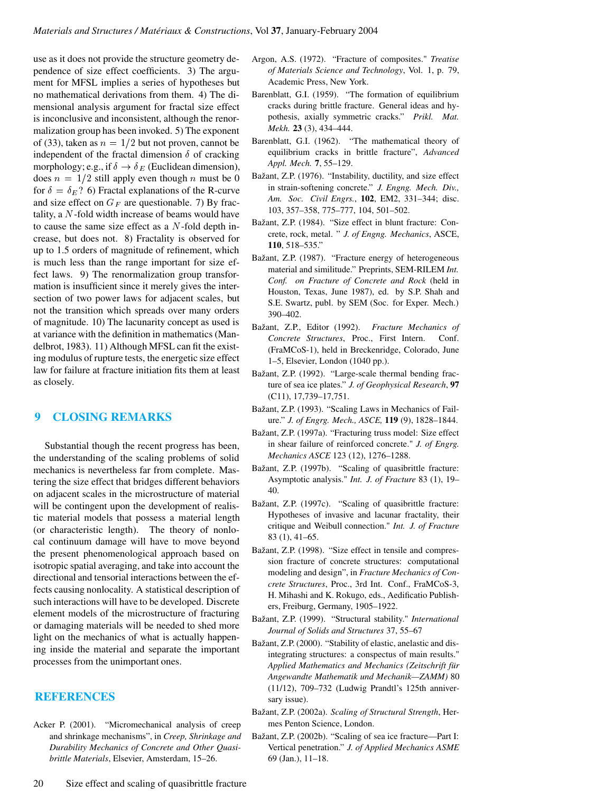use as it does not provide the structure geometry dependence of size effect coefficients. 3) The argument for MFSL implies a series of hypotheses but no mathematical derivations from them. 4) The dimensional analysis argument for fractal size effect is inconclusive and inconsistent, although the renormalization group has been invoked. 5) The exponent of (33), taken as  $n = 1/2$  but not proven, cannot be independent of the fractal dimension  $\delta$  of cracking morphology; e.g., if  $\delta \to \delta_E$  (Euclidean dimension), does  $n = 1/2$  still apply even though n must be 0 for  $\delta = \delta_E$ ? 6) Fractal explanations of the R-curve and size effect on  $G_F$  are questionable. 7) By fractality, a <sup>N</sup>-fold width increase of beams would have to cause the same size effect as a  $N$ -fold depth increase, but does not. 8) Fractality is observed for up to 1.5 orders of magnitude of refinement, which is much less than the range important for size effect laws. 9) The renormalization group transformation is insufficient since it merely gives the intersection of two power laws for adjacent scales, but not the transition which spreads over many orders of magnitude. 10) The lacunarity concept as used is at variance with the definition in mathematics (Mandelbrot, 1983). 11) Although MFSL can fit the existing modulus of rupture tests, the energetic size effect law for failure at fracture initiation fits them at least as closely.

#### **9 CLOSING REMARKS**

Substantial though the recent progress has been, the understanding of the scaling problems of solid mechanics is nevertheless far from complete. Mastering the size effect that bridges different behaviors on adjacent scales in the microstructure of material will be contingent upon the development of realistic material models that possess a material length (or characteristic length). The theory of nonlocal continuum damage will have to move beyond the present phenomenological approach based on isotropic spatial averaging, and take into account the directional and tensorial interactions between the effects causing nonlocality. A statistical description of such interactions will have to be developed. Discrete element models of the microstructure of fracturing or damaging materials will be needed to shed more light on the mechanics of what is actually happening inside the material and separate the important processes from the unimportant ones.

#### **REFERENCES**

Acker P. (2001). "Micromechanical analysis of creep and shrinkage mechanisms", in *Creep, Shrinkage and Durability Mechanics of Concrete and Other Quasibrittle Materials*, Elsevier, Amsterdam, 15–26.

- Argon, A.S. (1972). "Fracture of composites." *Treatise of Materials Science and Technology*, Vol. 1, p. 79, Academic Press, New York.
- Barenblatt, G.I. (1959). "The formation of equilibrium cracks during brittle fracture. General ideas and hypothesis, axially symmetric cracks." *Prikl. Mat. Mekh.* **23** (3), 434–444.
- Barenblatt, G.I. (1962). "The mathematical theory of equilibrium cracks in brittle fracture", *Advanced Appl. Mech.* **7**, 55–129.
- Bažant, Z.P. (1976). "Instability, ductility, and size effect in strain-softening concrete." *J. Engng. Mech. Div., Am. Soc. Civil Engrs.*, **102**, EM2, 331–344; disc. 103, 357–358, 775–777, 104, 501–502.
- Bažant, Z.P. (1984). "Size effect in blunt fracture: Concrete, rock, metal. " *J. of Engng. Mechanics*, ASCE, **110**, 518–535."
- Bažant, Z.P. (1987). "Fracture energy of heterogeneous material and similitude." Preprints, SEM-RILEM *Int. Conf. on Fracture of Concrete and Rock* (held in Houston, Texas, June 1987), ed. by S.P. Shah and S.E. Swartz, publ. by SEM (Soc. for Exper. Mech.) 390–402.
- Bažant, Z.P., Editor (1992). *Fracture Mechanics of Concrete Structures*, Proc., First Intern. Conf. (FraMCoS-1), held in Breckenridge, Colorado, June 1–5, Elsevier, London (1040 pp.).
- Bažant, Z.P. (1992). "Large-scale thermal bending fracture of sea ice plates." *J. of Geophysical Research*, **97** (C11), 17,739–17,751.
- Bažant, Z.P. (1993). "Scaling Laws in Mechanics of Failure." *J. of Engrg. Mech., ASCE,* **119** (9), 1828–1844.
- Bažant, Z.P. (1997a). "Fracturing truss model: Size effect in shear failure of reinforced concrete." *J. of Engrg. Mechanics ASCE* 123 (12), 1276–1288.
- Bažant, Z.P. (1997b). "Scaling of quasibrittle fracture: Asymptotic analysis." *Int. J. of Fracture* 83 (1), 19– 40.
- Bažant, Z.P. (1997c). "Scaling of quasibrittle fracture: Hypotheses of invasive and lacunar fractality, their critique and Weibull connection." *Int. J. of Fracture* 83 (1), 41–65.
- Bažant, Z.P. (1998). "Size effect in tensile and compression fracture of concrete structures: computational modeling and design", in *Fracture Mechanics of Concrete Structures*, Proc., 3rd Int. Conf., FraMCoS-3, H. Mihashi and K. Rokugo, eds., Aedificatio Publishers, Freiburg, Germany, 1905–1922.
- Bažant, Z.P. (1999). "Structural stability." *International Journal of Solids and Structures* 37, 55–67
- Bažant, Z.P. (2000). "Stability of elastic, anelastic and disintegrating structures: a conspectus of main results." *Applied Mathematics and Mechanics (Zeitschrift für Angewandte Mathematik und Mechanik—ZAMM)* 80 (11/12), 709–732 (Ludwig Prandtl's 125th anniversary issue).
- Bažant, Z.P. (2002a). *Scaling of Structural Strength*, Hermes Penton Science, London.
- Bažant, Z.P. (2002b). "Scaling of sea ice fracture—Part I: Vertical penetration." *J. of Applied Mechanics ASME* 69 (Jan.), 11–18.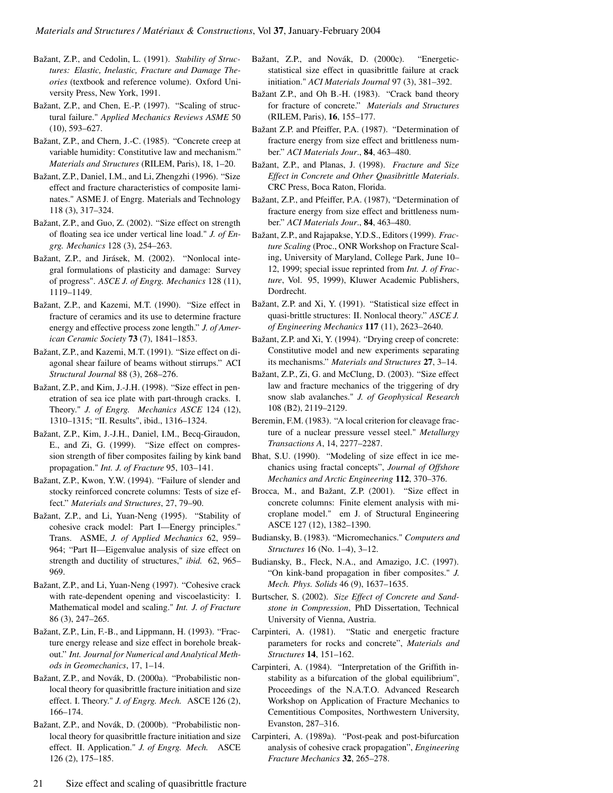- Bažant, Z.P., and Cedolin, L. (1991). *Stability of Structures: Elastic, Inelastic, Fracture and Damage Theories* (textbook and reference volume). Oxford University Press, New York, 1991.
- Bažant, Z.P., and Chen, E.-P. (1997). "Scaling of structural failure." *Applied Mechanics Reviews ASME* 50 (10), 593–627.
- Bažant, Z.P., and Chern, J.-C. (1985). "Concrete creep at variable humidity: Constitutive law and mechanism." *Materials and Structures* (RILEM, Paris), 18, 1–20.
- Bažant, Z.P., Daniel, I.M., and Li, Zhengzhi (1996). "Size effect and fracture characteristics of composite laminates." ASME J. of Engrg. Materials and Technology 118 (3), 317–324.
- Bažant, Z.P., and Guo, Z. (2002). "Size effect on strength of floating sea ice under vertical line load." *J. of Engrg. Mechanics* 128 (3), 254–263.
- Bažant, Z.P., and Jirásek, M. (2002). "Nonlocal integral formulations of plasticity and damage: Survey of progress". *ASCE J. of Engrg. Mechanics* 128 (11), 1119–1149.
- Bažant, Z.P., and Kazemi, M.T. (1990). "Size effect in fracture of ceramics and its use to determine fracture energy and effective process zone length." *J. of American Ceramic Society* **73** (7), 1841–1853.
- Bažant, Z.P., and Kazemi, M.T. (1991). "Size effect on diagonal shear failure of beams without stirrups." ACI *Structural Journal* 88 (3), 268–276.
- Bažant, Z.P., and Kim, J.-J.H. (1998). "Size effect in penetration of sea ice plate with part-through cracks. I. Theory." *J. of Engrg. Mechanics ASCE* 124 (12), 1310–1315; "II. Results", ibid., 1316–1324.
- Bažant, Z.P., Kim, J.-J.H., Daniel, I.M., Becq-Giraudon, E., and Zi, G. (1999). "Size effect on compression strength of fiber composites failing by kink band propagation." *Int. J. of Fracture* 95, 103–141.
- Bažant, Z.P., Kwon, Y.W. (1994). "Failure of slender and stocky reinforced concrete columns: Tests of size effect." *Materials and Structures*, 27, 79–90.
- Bažant, Z.P., and Li, Yuan-Neng (1995). "Stability of cohesive crack model: Part I—Energy principles." Trans. ASME, *J. of Applied Mechanics* 62, 959– 964; "Part II—Eigenvalue analysis of size effect on strength and ductility of structures," *ibid.* 62, 965– 969.
- Bažant, Z.P., and Li, Yuan-Neng (1997). "Cohesive crack with rate-dependent opening and viscoelasticity: I. Mathematical model and scaling." *Int. J. of Fracture* 86 (3), 247–265.
- Bažant, Z.P., Lin, F.-B., and Lippmann, H. (1993). "Fracture energy release and size effect in borehole breakout." *Int. Journal for Numerical and Analytical Methods in Geomechanics*, 17, 1–14.
- Bažant, Z.P., and Novák, D. (2000a). "Probabilistic nonlocal theory for quasibrittle fracture initiation and size effect. I. Theory." *J. of Engrg. Mech.* ASCE 126 (2), 166–174.
- Bažant, Z.P., and Novák, D. (2000b). "Probabilistic nonlocal theory for quasibrittle fracture initiation and size effect. II. Application." *J. of Engrg. Mech.* ASCE 126 (2), 175–185.
- Bažant, Z.P., and Novák, D. (2000c). "Energeticstatistical size effect in quasibrittle failure at crack initiation." *ACI Materials Journal* 97 (3), 381–392.
- Bažant Z.P., and Oh B.-H. (1983). "Crack band theory for fracture of concrete." *Materials and Structures* (RILEM, Paris), **16**, 155–177.
- Bažant Z.P. and Pfeiffer, P.A. (1987). "Determination of fracture energy from size effect and brittleness number." *ACI Materials Jour*., **84**, 463–480.
- Bažant, Z.P., and Planas, J. (1998). *Fracture and Size Effect in Concrete and Other Quasibrittle Materials*. CRC Press, Boca Raton, Florida.
- Bažant, Z.P., and Pfeiffer, P.A. (1987), "Determination of fracture energy from size effect and brittleness number." *ACI Materials Jour*., **84**, 463–480.
- Bažant, Z.P., and Rajapakse, Y.D.S., Editors (1999). *Fracture Scaling* (Proc., ONR Workshop on Fracture Scaling, University of Maryland, College Park, June 10– 12, 1999; special issue reprinted from *Int. J. of Fracture*, Vol. 95, 1999), Kluwer Academic Publishers, Dordrecht.
- Bažant, Z.P. and Xi, Y. (1991). "Statistical size effect in quasi-brittle structures: II. Nonlocal theory." *ASCE J. of Engineering Mechanics* **117** (11), 2623–2640.
- Bažant, Z.P. and Xi, Y. (1994). "Drying creep of concrete: Constitutive model and new experiments separating its mechanisms." *Materials and Structures* **27**, 3–14.
- Bažant, Z.P., Zi, G. and McClung, D. (2003). "Size effect law and fracture mechanics of the triggering of dry snow slab avalanches." *J. of Geophysical Research* 108 (B2), 2119–2129.
- Beremin, F.M. (1983). "A local criterion for cleavage fracture of a nuclear pressure vessel steel." *Metallurgy Transactions A*, 14, 2277–2287.
- Bhat, S.U. (1990). "Modeling of size effect in ice mechanics using fractal concepts", *Journal of Offshore Mechanics and Arctic Engineering* **112**, 370–376.
- Brocca, M., and Bažant, Z.P. (2001). "Size effect in concrete columns: Finite element analysis with microplane model." em J. of Structural Engineering ASCE 127 (12), 1382–1390.
- Budiansky, B. (1983). "Micromechanics." *Computers and Structures* 16 (No. 1–4), 3–12.
- Budiansky, B., Fleck, N.A., and Amazigo, J.C. (1997). "On kink-band propagation in fiber composites." *J. Mech. Phys. Solids* 46 (9), 1637–1635.
- Burtscher, S. (2002). *Size Effect of Concrete and Sandstone in Compression*, PhD Dissertation, Technical University of Vienna, Austria.
- Carpinteri, A. (1981). "Static and energetic fracture parameters for rocks and concrete", *Materials and Structures* **14**, 151–162.
- Carpinteri, A. (1984). "Interpretation of the Griffith instability as a bifurcation of the global equilibrium", Proceedings of the N.A.T.O. Advanced Research Workshop on Application of Fracture Mechanics to Cementitious Composites, Northwestern University, Evanston, 287–316.
- Carpinteri, A. (1989a). "Post-peak and post-bifurcation analysis of cohesive crack propagation", *Engineering Fracture Mechanics* **32**, 265–278.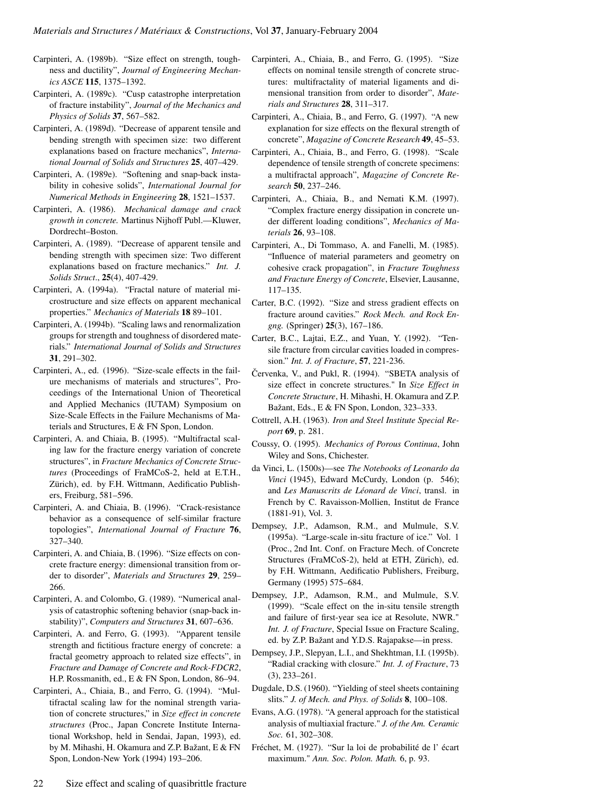- Carpinteri, A. (1989b). "Size effect on strength, toughness and ductility", *Journal of Engineering Mechanics ASCE* **115**, 1375–1392.
- Carpinteri, A. (1989c). "Cusp catastrophe interpretation of fracture instability", *Journal of the Mechanics and Physics of Solids* **37**, 567–582.
- Carpinteri, A. (1989d). "Decrease of apparent tensile and bending strength with specimen size: two different explanations based on fracture mechanics", *International Journal of Solids and Structures* **25**, 407–429.
- Carpinteri, A. (1989e). "Softening and snap-back instability in cohesive solids", *International Journal for Numerical Methods in Engineering* **28**, 1521–1537.
- Carpinteri, A. (1986). *Mechanical damage and crack growth in concrete.* Martinus Nijhoff Publ.—Kluwer, Dordrecht–Boston.
- Carpinteri, A. (1989). "Decrease of apparent tensile and bending strength with specimen size: Two different explanations based on fracture mechanics." *Int. J. Solids Struct*., **25**(4), 407-429.
- Carpinteri, A. (1994a). "Fractal nature of material microstructure and size effects on apparent mechanical properties." *Mechanics of Materials* **18** 89–101.
- Carpinteri, A. (1994b). "Scaling laws and renormalization groups for strength and toughness of disordered materials." *International Journal of Solids and Structures* **31**, 291–302.
- Carpinteri, A., ed. (1996). "Size-scale effects in the failure mechanisms of materials and structures", Proceedings of the International Union of Theoretical and Applied Mechanics (IUTAM) Symposium on Size-Scale Effects in the Failure Mechanisms of Materials and Structures, E & FN Spon, London.
- Carpinteri, A. and Chiaia, B. (1995). "Multifractal scaling law for the fracture energy variation of concrete structures", in *Fracture Mechanics of Concrete Structures* (Proceedings of FraMCoS-2, held at E.T.H., Zürich), ed. by F.H. Wittmann, Aedificatio Publishers, Freiburg, 581–596.
- Carpinteri, A. and Chiaia, B. (1996). "Crack-resistance behavior as a consequence of self-similar fracture topologies", *International Journal of Fracture* **76**, 327–340.
- Carpinteri, A. and Chiaia, B. (1996). "Size effects on concrete fracture energy: dimensional transition from order to disorder", *Materials and Structures* **29**, 259– 266.
- Carpinteri, A. and Colombo, G. (1989). "Numerical analysis of catastrophic softening behavior (snap-back instability)", *Computers and Structures* **31**, 607–636.
- Carpinteri, A. and Ferro, G. (1993). "Apparent tensile strength and fictitious fracture energy of concrete: a fractal geometry approach to related size effects", in *Fracture and Damage of Concrete and Rock-FDCR2*, H.P. Rossmanith, ed., E & FN Spon, London, 86–94.
- Carpinteri, A., Chiaia, B., and Ferro, G. (1994). "Multifractal scaling law for the nominal strength variation of concrete structures," in *Size effect in concrete structures* (Proc., Japan Concrete Institute International Workshop, held in Sendai, Japan, 1993), ed. by M. Mihashi, H. Okamura and Z.P. Bažant, E & FN Spon, London-New York (1994) 193–206.
- Carpinteri, A., Chiaia, B., and Ferro, G. (1995). "Size effects on nominal tensile strength of concrete structures: multifractality of material ligaments and dimensional transition from order to disorder", *Materials and Structures* **28**, 311–317.
- Carpinteri, A., Chiaia, B., and Ferro, G. (1997). "A new explanation for size effects on the flexural strength of concrete", *Magazine of Concrete Research* **49**, 45–53.
- Carpinteri, A., Chiaia, B., and Ferro, G. (1998). "Scale dependence of tensile strength of concrete specimens: a multifractal approach", *Magazine of Concrete Research* **50**, 237–246.
- Carpinteri, A., Chiaia, B., and Nemati K.M. (1997). "Complex fracture energy dissipation in concrete under different loading conditions", *Mechanics of Materials* **26**, 93–108.
- Carpinteri, A., Di Tommaso, A. and Fanelli, M. (1985). "Influence of material parameters and geometry on cohesive crack propagation", in *Fracture Toughness and Fracture Energy of Concrete*, Elsevier, Lausanne, 117–135.
- Carter, B.C. (1992). "Size and stress gradient effects on fracture around cavities." *Rock Mech. and Rock Engng.* (Springer) **25**(3), 167–186.
- Carter, B.C., Lajtai, E.Z., and Yuan, Y. (1992). "Tensile fracture from circular cavities loaded in compression." *Int. J. of Fracture*, **57**, 221-236.
- Červenka, V., and Pukl, R. (1994). "SBETA analysis of size effect in concrete structures." In *Size Effect in Concrete Structure*, H. Mihashi, H. Okamura and Z.P. Bažant, Eds., E & FN Spon, London, 323–333.
- Cottrell, A.H. (1963). *Iron and Steel Institute Special Report* **69**, p. 281.
- Coussy, O. (1995). *Mechanics of Porous Continua*, John Wiley and Sons, Chichester.
- da Vinci, L. (1500s)—see *The Notebooks of Leonardo da Vinci* (1945), Edward McCurdy, London (p. 546); and *Les Manuscrits de Léonard de Vinci*, transl. in French by C. Ravaisson-Mollien, Institut de France (1881-91), Vol. 3.
- Dempsey, J.P., Adamson, R.M., and Mulmule, S.V. (1995a). "Large-scale in-situ fracture of ice." Vol. 1 (Proc., 2nd Int. Conf. on Fracture Mech. of Concrete Structures (FraMCoS-2), held at ETH, Zürich), ed. by F.H. Wittmann, Aedificatio Publishers, Freiburg, Germany (1995) 575–684.
- Dempsey, J.P., Adamson, R.M., and Mulmule, S.V. (1999). "Scale effect on the in-situ tensile strength and failure of first-year sea ice at Resolute, NWR." *Int. J. of Fracture*, Special Issue on Fracture Scaling, ed. by Z.P. Bažant and Y.D.S. Rajapakse—in press.
- Dempsey, J.P., Slepyan, L.I., and Shekhtman, I.I. (1995b). "Radial cracking with closure." *Int. J. of Fracture*, 73 (3), 233–261.
- Dugdale, D.S. (1960). "Yielding of steel sheets containing slits." *J. of Mech. and Phys. of Solids* **8**, 100–108.
- Evans, A.G. (1978). "A general approach for the statistical analysis of multiaxial fracture." *J. of the Am. Ceramic Soc.* 61, 302–308.
- Fréchet, M. (1927). "Sur la loi de probabilité de l' écart maximum." *Ann. Soc. Polon. Math.* 6, p. 93.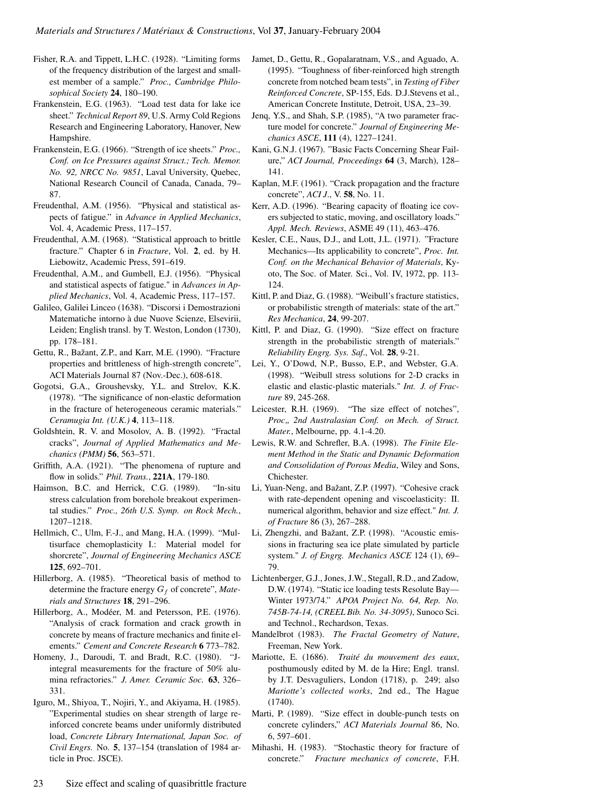- Fisher, R.A. and Tippett, L.H.C. (1928). "Limiting forms of the frequency distribution of the largest and smallest member of a sample." *Proc., Cambridge Philosophical Society* **24**, 180–190.
- Frankenstein, E.G. (1963). "Load test data for lake ice sheet." *Technical Report 89*, U.S. Army Cold Regions Research and Engineering Laboratory, Hanover, New Hampshire.
- Frankenstein, E.G. (1966). "Strength of ice sheets." *Proc., Conf. on Ice Pressures against Struct.; Tech. Memor. No. 92, NRCC No. 9851*, Laval University, Quebec, National Research Council of Canada, Canada, 79– 87.
- Freudenthal, A.M. (1956). "Physical and statistical aspects of fatigue." in *Advance in Applied Mechanics*, Vol. 4, Academic Press, 117–157.
- Freudenthal, A.M. (1968). "Statistical approach to brittle fracture." Chapter 6 in *Fracture*, Vol. **2**, ed. by H. Liebowitz, Academic Press, 591–619.
- Freudenthal, A.M., and Gumbell, E.J. (1956). "Physical and statistical aspects of fatigue." in *Advances in Applied Mechanics*, Vol. 4, Academic Press, 117–157.
- Galileo, Galilei Linceo (1638). "Discorsi i Demostrazioni Matematiche intorno à due Nuove Scienze, Elsevirii, Leiden; English transl. by T. Weston, London (1730), pp. 178–181.
- Gettu, R., Bažant, Z.P., and Karr, M.E. (1990). "Fracture properties and brittleness of high-strength concrete", ACI Materials Journal 87 (Nov.-Dec.), 608-618.
- Gogotsi, G.A., Groushevsky, Y.L. and Strelov, K.K. (1978). "The significance of non-elastic deformation in the fracture of heterogeneous ceramic materials." *Ceramugia Int. (U.K.)* **4**, 113–118.
- Goldshtein, R. V. and Mosolov, A. B. (1992). "Fractal cracks", *Journal of Applied Mathematics and Mechanics (PMM)* **56**, 563–571.
- Griffith, A.A. (1921). "The phenomena of rupture and flow in solids." *Phil. Trans.*, **221A**, 179-180.
- Haimson, B.C. and Herrick, C.G. (1989). "In-situ stress calculation from borehole breakout experimental studies." *Proc., 26th U.S. Symp. on Rock Mech.*, 1207–1218.
- Hellmich, C., Ulm, F.-J., and Mang, H.A. (1999). "Multisurface chemoplasticity I.: Material model for shorcrete", *Journal of Engineering Mechanics ASCE* **125**, 692–701.
- Hillerborg, A. (1985). "Theoretical basis of method to determine the fracture energy  $G_f$  of concrete", Mate*rials and Structures* **18**, 291–296.
- Hillerborg, A., Modéer, M. and Petersson, P.E. (1976). "Analysis of crack formation and crack growth in concrete by means of fracture mechanics and finite elements." *Cement and Concrete Research* **6** 773–782.
- Homeny, J., Daroudi, T. and Bradt, R.C. (1980). "Jintegral measurements for the fracture of 50% alumina refractories." *J. Amer. Ceramic Soc.* **63**, 326– 331.
- Iguro, M., Shiyoa, T., Nojiri, Y., and Akiyama, H. (1985). "Experimental studies on shear strength of large reinforced concrete beams under uniformly distributed load, *Concrete Library International, Japan Soc. of Civil Engrs.* No. **5**, 137–154 (translation of 1984 article in Proc. JSCE).
- Jamet, D., Gettu, R., Gopalaratnam, V.S., and Aguado, A. (1995). "Toughness of fiber-reinforced high strength concrete from notched beam tests", in *Testing of Fiber Reinforced Concrete*, SP-155, Eds. D.J.Stevens et al., American Concrete Institute, Detroit, USA, 23–39.
- Jenq, Y.S., and Shah, S.P. (1985), "A two parameter fracture model for concrete." *Journal of Engineering Mechanics ASCE*, **111** (4), 1227–1241.
- Kani, G.N.J. (1967). "Basic Facts Concerning Shear Failure," *ACI Journal, Proceedings* **64** (3, March), 128– 141.
- Kaplan, M.F. (1961). "Crack propagation and the fracture concrete", *ACI J*., V. **58**, No. 11.
- Kerr, A.D. (1996). "Bearing capacity of floating ice covers subjected to static, moving, and oscillatory loads." *Appl. Mech. Reviews*, ASME 49 (11), 463–476.
- Kesler, C.E., Naus, D.J., and Lott, J.L. (1971). "Fracture Mechanics—Its applicability to concrete", *Proc. Int. Conf. on the Mechanical Behavior of Materials*, Kyoto, The Soc. of Mater. Sci., Vol. IV, 1972, pp. 113- 124.
- Kittl, P. and Diaz, G. (1988). "Weibull's fracture statistics, or probabilistic strength of materials: state of the art." *Res Mechanica*, **24**, 99-207.
- Kittl, P. and Diaz, G. (1990). "Size effect on fracture strength in the probabilistic strength of materials." *Reliability Engrg. Sys. Saf*., Vol. **28**, 9-21.
- Lei, Y., O'Dowd, N.P., Busso, E.P., and Webster, G.A. (1998). "Weibull stress solutions for 2-D cracks in elastic and elastic-plastic materials." *Int. J. of Fracture* 89, 245-268.
- Leicester, R.H. (1969). "The size effect of notches", Proc., 2nd Australasian Conf. on Mech. of Struct. *Mater.*, Melbourne, pp. 4.1-4.20.
- Lewis, R.W. and Schrefler, B.A. (1998). *The Finite Element Method in the Static and Dynamic Deformation and Consolidation of Porous Media*, Wiley and Sons, Chichester.
- Li, Yuan-Neng, and Bažant, Z.P. (1997). "Cohesive crack with rate-dependent opening and viscoelasticity: II. numerical algorithm, behavior and size effect." *Int. J. of Fracture* 86 (3), 267–288.
- Li, Zhengzhi, and Bažant, Z.P. (1998). "Acoustic emissions in fracturing sea ice plate simulated by particle system." *J. of Engrg. Mechanics ASCE* 124 (1), 69– 79.
- Lichtenberger, G.J., Jones, J.W., Stegall, R.D., and Zadow, D.W. (1974). "Static ice loading tests Resolute Bay— Winter 1973/74." *APOA Project No. 64, Rep. No. 745B-74-14, (CREEL Bib. No. 34-3095)*, Sunoco Sci. and Technol., Rechardson, Texas.
- Mandelbrot (1983). *The Fractal Geometry of Nature*, Freeman, New York.
- Mariotte, E. (1686). *Traité du mouvement des eaux*, posthumously edited by M. de la Hire; Engl. transl. by J.T. Desvaguliers, London (1718), p. 249; also *Mariotte's collected works*, 2nd ed., The Hague (1740).
- Marti, P. (1989). "Size effect in double-punch tests on concrete cylinders," *ACI Materials Journal* 86, No. 6, 597–601.
- Mihashi, H. (1983). "Stochastic theory for fracture of concrete." *Fracture mechanics of concrete*, F.H.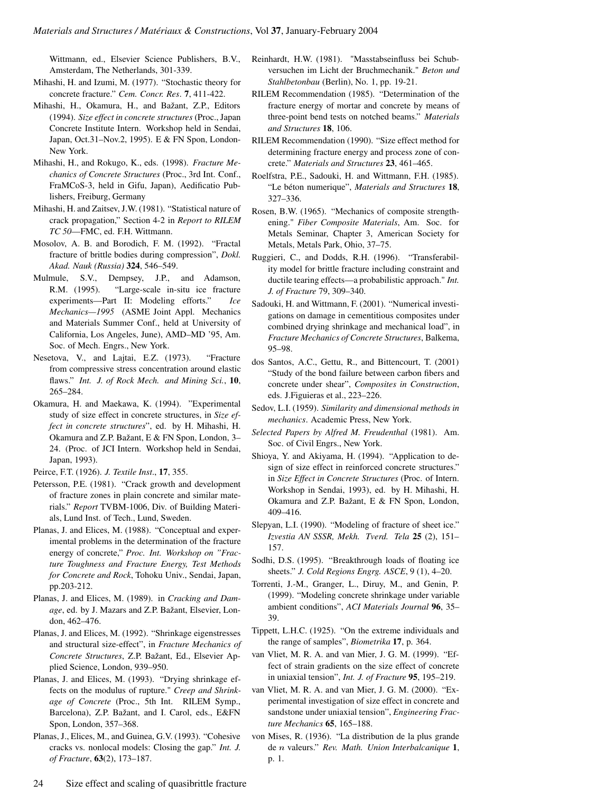Wittmann, ed., Elsevier Science Publishers, B.V., Amsterdam, The Netherlands, 301-339.

- Mihashi, H. and Izumi, M. (1977). "Stochastic theory for concrete fracture." *Cem. Concr. Res*. **7**, 411-422.
- Mihashi, H., Okamura, H., and Bažant, Z.P., Editors (1994). *Size effect in concrete structures* (Proc., Japan Concrete Institute Intern. Workshop held in Sendai, Japan, Oct.31–Nov.2, 1995). E & FN Spon, London-New York.
- Mihashi, H., and Rokugo, K., eds. (1998). *Fracture Mechanics of Concrete Structures* (Proc., 3rd Int. Conf., FraMCoS-3, held in Gifu, Japan), Aedificatio Publishers, Freiburg, Germany
- Mihashi, H. and Zaitsev, J.W. (1981). "Statistical nature of crack propagation," Section 4-2 in *Report to RILEM TC 50*—FMC, ed. F.H. Wittmann.
- Mosolov, A. B. and Borodich, F. M. (1992). "Fractal fracture of brittle bodies during compression", *Dokl. Akad. Nauk (Russia)* **324**, 546–549.
- Mulmule, S.V., Dempsey, J.P., and Adamson, R.M. (1995). "Large-scale in-situ ice fracture experiments—Part II: Modeling efforts." *Ice Mechanics—1995* (ASME Joint Appl. Mechanics and Materials Summer Conf., held at University of California, Los Angeles, June), AMD–MD '95, Am. Soc. of Mech. Engrs., New York.
- Nesetova, V., and Lajtai, E.Z. (1973). "Fracture from compressive stress concentration around elastic flaws." *Int. J. of Rock Mech. and Mining Sci.*, **10**, 265–284.
- Okamura, H. and Maekawa, K. (1994). "Experimental study of size effect in concrete structures, in *Size effect in concrete structures*", ed. by H. Mihashi, H. Okamura and Z.P. Bažant, E & FN Spon, London, 3– 24. (Proc. of JCI Intern. Workshop held in Sendai, Japan, 1993).

Peirce, F.T. (1926). *J. Textile Inst*., **17**, 355.

- Petersson, P.E. (1981). "Crack growth and development of fracture zones in plain concrete and similar materials." *Report* TVBM-1006, Div. of Building Materials, Lund Inst. of Tech., Lund, Sweden.
- Planas, J. and Elices, M. (1988). "Conceptual and experimental problems in the determination of the fracture energy of concrete," *Proc. Int. Workshop on "Fracture Toughness and Fracture Energy, Test Methods for Concrete and Rock*, Tohoku Univ., Sendai, Japan, pp.203-212.
- Planas, J. and Elices, M. (1989). in *Cracking and Damage*, ed. by J. Mazars and Z.P. Bažant, Elsevier, London, 462–476.
- Planas, J. and Elices, M. (1992). "Shrinkage eigenstresses and structural size-effect", in *Fracture Mechanics of Concrete Structures*, Z.P. Bažant, Ed., Elsevier Applied Science, London, 939–950.
- Planas, J. and Elices, M. (1993). "Drying shrinkage effects on the modulus of rupture." *Creep and Shrinkage of Concrete* (Proc., 5th Int. RILEM Symp., Barcelona), Z.P. Bažant, and I. Carol, eds., E&FN Spon, London, 357–368.
- Planas, J., Elices, M., and Guinea, G.V. (1993). "Cohesive cracks vs. nonlocal models: Closing the gap." *Int. J. of Fracture*, **63**(2), 173–187.
- Reinhardt, H.W. (1981). "Masstabseinfluss bei Schubversuchen im Licht der Bruchmechanik." *Beton und Stahlbetonbau* (Berlin), No. 1, pp. 19-21.
- RILEM Recommendation (1985). "Determination of the fracture energy of mortar and concrete by means of three-point bend tests on notched beams." *Materials and Structures* **18**, 106.
- RILEM Recommendation (1990). "Size effect method for determining fracture energy and process zone of concrete." *Materials and Structures* **23**, 461–465.
- Roelfstra, P.E., Sadouki, H. and Wittmann, F.H. (1985). "Le béton numerique", *Materials and Structures* **18**, 327–336.
- Rosen, B.W. (1965). "Mechanics of composite strengthening." *Fiber Composite Materials*, Am. Soc. for Metals Seminar, Chapter 3, American Society for Metals, Metals Park, Ohio, 37–75.
- Ruggieri, C., and Dodds, R.H. (1996). "Transferability model for brittle fracture including constraint and ductile tearing effects—a probabilistic approach." *Int. J. of Fracture* 79, 309–340.
- Sadouki, H. and Wittmann, F. (2001). "Numerical investigations on damage in cementitious composites under combined drying shrinkage and mechanical load", in *Fracture Mechanics of Concrete Structures*, Balkema, 95–98.
- dos Santos, A.C., Gettu, R., and Bittencourt, T. (2001) "Study of the bond failure between carbon fibers and concrete under shear", *Composites in Construction*, eds. J.Figuieras et al., 223–226.
- Sedov, L.I. (1959). *Similarity and dimensional methods in mechanics*. Academic Press, New York.
- *Selected Papers by Alfred M. Freudenthal* (1981). Am. Soc. of Civil Engrs., New York.
- Shioya, Y. and Akiyama, H. (1994). "Application to design of size effect in reinforced concrete structures." in *Size Effect in Concrete Structures* (Proc. of Intern. Workshop in Sendai, 1993), ed. by H. Mihashi, H. Okamura and Z.P. Bažant, E & FN Spon, London, 409–416.
- Slepyan, L.I. (1990). "Modeling of fracture of sheet ice." *Izvestia AN SSSR, Mekh. Tverd. Tela* **25** (2), 151– 157.
- Sodhi, D.S. (1995). "Breakthrough loads of floating ice sheets." *J. Cold Regions Engrg. ASCE*, 9 (1), 4–20.
- Torrenti, J.-M., Granger, L., Diruy, M., and Genin, P. (1999). "Modeling concrete shrinkage under variable ambient conditions", *ACI Materials Journal* **96**, 35– 39.
- Tippett, L.H.C. (1925). "On the extreme individuals and the range of samples", *Biometrika* **17**, p. 364.
- van Vliet, M. R. A. and van Mier, J. G. M. (1999). "Effect of strain gradients on the size effect of concrete in uniaxial tension", *Int. J. of Fracture* **95**, 195–219.
- van Vliet, M. R. A. and van Mier, J. G. M. (2000). "Experimental investigation of size effect in concrete and sandstone under uniaxial tension", *Engineering Fracture Mechanics* **65**, 165–188.
- von Mises, R. (1936). "La distribution de la plus grande de <sup>n</sup> valeurs." *Rev. Math. Union Interbalcanique* **1**, p. 1.